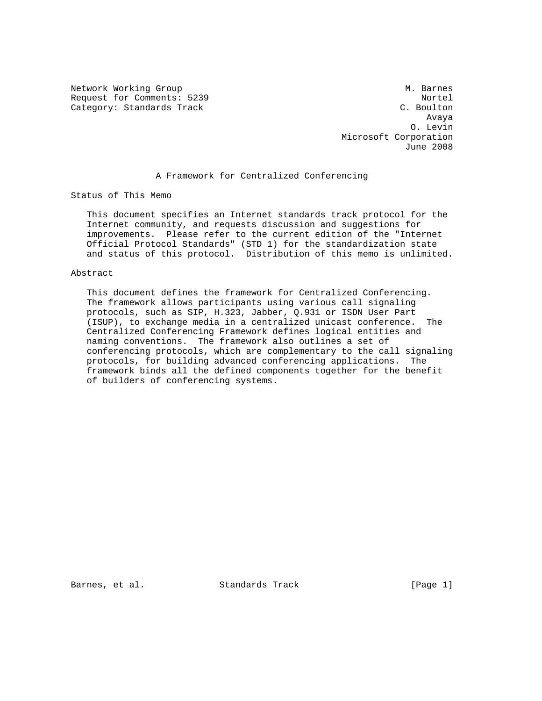Network Working Group Methods and Museum M. Barnes Request for Comments: 5239 Nortel<br>Category: Standards Track Nortel C. Boulton Category: Standards Track

 Avaya O. Levin Microsoft Corporation June 2008

# A Framework for Centralized Conferencing

Status of This Memo

 This document specifies an Internet standards track protocol for the Internet community, and requests discussion and suggestions for improvements. Please refer to the current edition of the "Internet Official Protocol Standards" (STD 1) for the standardization state and status of this protocol. Distribution of this memo is unlimited.

#### Abstract

 This document defines the framework for Centralized Conferencing. The framework allows participants using various call signaling protocols, such as SIP, H.323, Jabber, Q.931 or ISDN User Part (ISUP), to exchange media in a centralized unicast conference. The Centralized Conferencing Framework defines logical entities and naming conventions. The framework also outlines a set of conferencing protocols, which are complementary to the call signaling protocols, for building advanced conferencing applications. The framework binds all the defined components together for the benefit of builders of conferencing systems.

Barnes, et al. Standards Track [Page 1]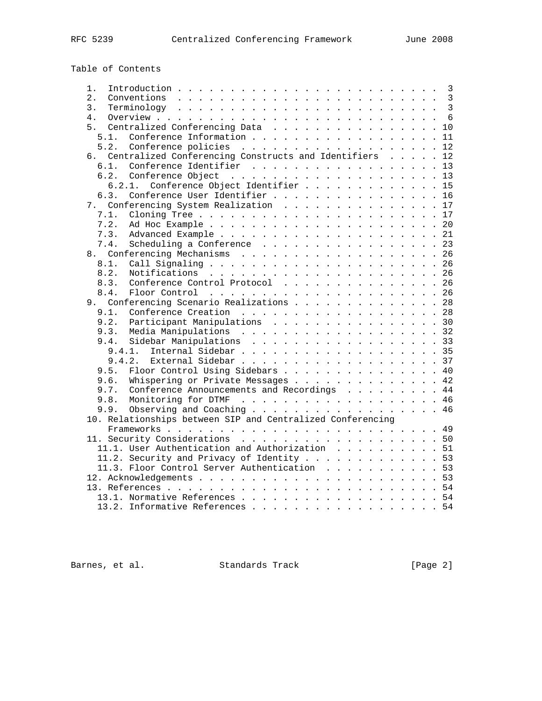# Table of Contents

| 1.                                                                               |  | 3              |
|----------------------------------------------------------------------------------|--|----------------|
| $\overline{2}$ .                                                                 |  | $\overline{3}$ |
| $\overline{3}$ .                                                                 |  | $\overline{3}$ |
| 4.                                                                               |  | 6              |
| Centralized Conferencing Data<br>5.                                              |  | 10             |
| 5.1. Conference Information                                                      |  | 11             |
| 5.2.                                                                             |  | 12             |
| Centralized Conferencing Constructs and Identifiers<br>б.                        |  | 12             |
| Conference Identifier 13<br>6.1.                                                 |  |                |
| Conference Object 13<br>6.2.                                                     |  |                |
| 6.2.1. Conference Object Identifier 15                                           |  |                |
| Conference User Identifier 16<br>6.3.                                            |  |                |
| 7. Conferencing System Realization 17                                            |  |                |
| 7.1.                                                                             |  |                |
| 7.2.                                                                             |  | 20             |
| 7.3.                                                                             |  |                |
|                                                                                  |  |                |
| Scheduling a Conference<br>7.4.                                                  |  | 23             |
| 8.                                                                               |  |                |
| 8.1.                                                                             |  |                |
| 8.2.                                                                             |  |                |
| Conference Control Protocol 26<br>8.3.                                           |  |                |
| Floor Control $\dots \dots \dots \dots \dots \dots \dots \dots \dots 26$<br>8.4. |  |                |
| 9. Conferencing Scenario Realizations 28                                         |  |                |
| 9.1.<br>Conference Creation 28                                                   |  |                |
| Participant Manipulations 30<br>9.2.                                             |  |                |
| Media Manipulations 32<br>9.3.                                                   |  |                |
| Sidebar Manipulations 33<br>9.4.                                                 |  |                |
| Internal Sidebar 35<br>9.4.1.                                                    |  |                |
| 9.4.2.<br>External Sidebar 37                                                    |  |                |
| Floor Control Using Sidebars 40<br>9.5.                                          |  |                |
| Whispering or Private Messages 42<br>9.6.                                        |  |                |
| Conference Announcements and Recordings 44<br>9.7.                               |  |                |
| Monitoring for DTMF 46<br>9.8.                                                   |  |                |
| 9.9. Observing and Coaching 46                                                   |  |                |
| 10. Relationships between SIP and Centralized Conferencing                       |  |                |
|                                                                                  |  |                |
|                                                                                  |  |                |
| 11.1. User Authentication and Authorization 51                                   |  |                |
|                                                                                  |  |                |
| 11.2. Security and Privacy of Identity 53                                        |  |                |
| 11.3. Floor Control Server Authentication 53                                     |  |                |
|                                                                                  |  |                |
|                                                                                  |  |                |
|                                                                                  |  | 54             |
| 13.2. Informative References 54                                                  |  |                |

Barnes, et al. Standards Track [Page 2]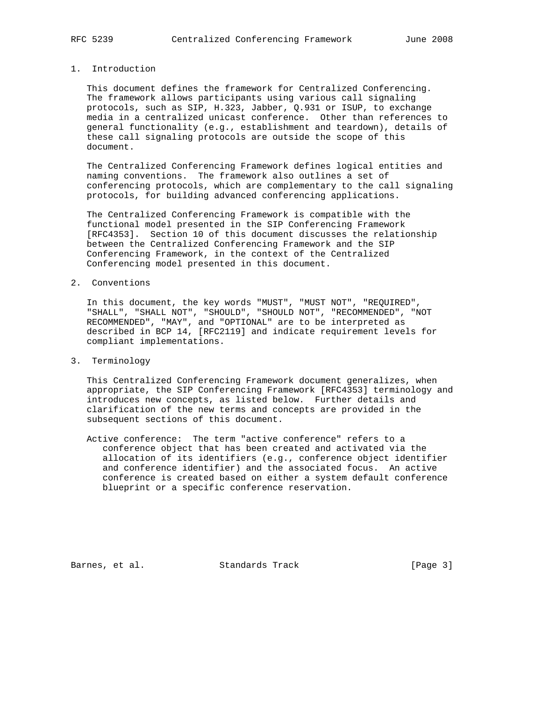# 1. Introduction

 This document defines the framework for Centralized Conferencing. The framework allows participants using various call signaling protocols, such as SIP, H.323, Jabber, Q.931 or ISUP, to exchange media in a centralized unicast conference. Other than references to general functionality (e.g., establishment and teardown), details of these call signaling protocols are outside the scope of this document.

 The Centralized Conferencing Framework defines logical entities and naming conventions. The framework also outlines a set of conferencing protocols, which are complementary to the call signaling protocols, for building advanced conferencing applications.

 The Centralized Conferencing Framework is compatible with the functional model presented in the SIP Conferencing Framework [RFC4353]. Section 10 of this document discusses the relationship between the Centralized Conferencing Framework and the SIP Conferencing Framework, in the context of the Centralized Conferencing model presented in this document.

2. Conventions

 In this document, the key words "MUST", "MUST NOT", "REQUIRED", "SHALL", "SHALL NOT", "SHOULD", "SHOULD NOT", "RECOMMENDED", "NOT RECOMMENDED", "MAY", and "OPTIONAL" are to be interpreted as described in BCP 14, [RFC2119] and indicate requirement levels for compliant implementations.

#### 3. Terminology

 This Centralized Conferencing Framework document generalizes, when appropriate, the SIP Conferencing Framework [RFC4353] terminology and introduces new concepts, as listed below. Further details and clarification of the new terms and concepts are provided in the subsequent sections of this document.

 Active conference: The term "active conference" refers to a conference object that has been created and activated via the allocation of its identifiers (e.g., conference object identifier and conference identifier) and the associated focus. An active conference is created based on either a system default conference blueprint or a specific conference reservation.

Barnes, et al. Standards Track [Page 3]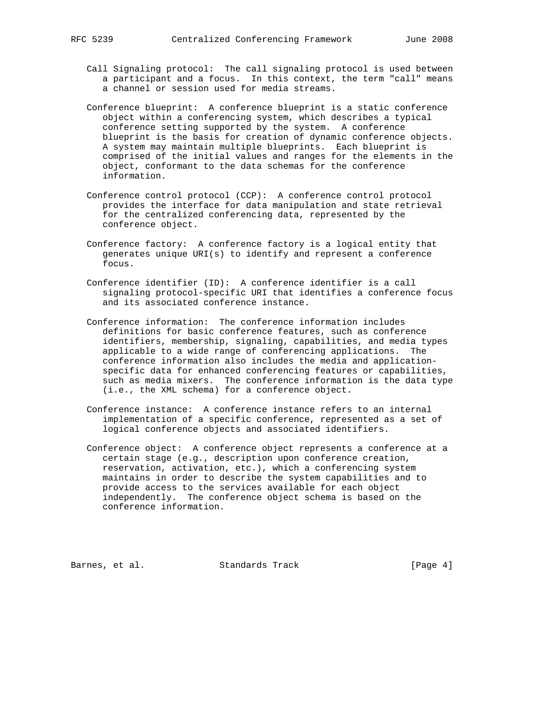- Call Signaling protocol: The call signaling protocol is used between a participant and a focus. In this context, the term "call" means a channel or session used for media streams.
- Conference blueprint: A conference blueprint is a static conference object within a conferencing system, which describes a typical conference setting supported by the system. A conference blueprint is the basis for creation of dynamic conference objects. A system may maintain multiple blueprints. Each blueprint is comprised of the initial values and ranges for the elements in the object, conformant to the data schemas for the conference information.
- Conference control protocol (CCP): A conference control protocol provides the interface for data manipulation and state retrieval for the centralized conferencing data, represented by the conference object.
- Conference factory: A conference factory is a logical entity that generates unique URI(s) to identify and represent a conference focus.
- Conference identifier (ID): A conference identifier is a call signaling protocol-specific URI that identifies a conference focus and its associated conference instance.
- Conference information: The conference information includes definitions for basic conference features, such as conference identifiers, membership, signaling, capabilities, and media types applicable to a wide range of conferencing applications. The conference information also includes the media and application specific data for enhanced conferencing features or capabilities, such as media mixers. The conference information is the data type (i.e., the XML schema) for a conference object.
- Conference instance: A conference instance refers to an internal implementation of a specific conference, represented as a set of logical conference objects and associated identifiers.
- Conference object: A conference object represents a conference at a certain stage (e.g., description upon conference creation, reservation, activation, etc.), which a conferencing system maintains in order to describe the system capabilities and to provide access to the services available for each object independently. The conference object schema is based on the conference information.

Barnes, et al. Standards Track [Page 4]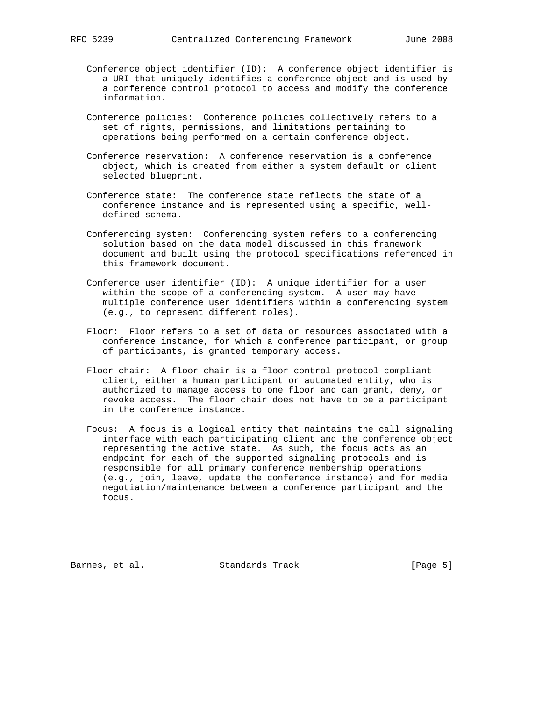- Conference object identifier (ID): A conference object identifier is a URI that uniquely identifies a conference object and is used by a conference control protocol to access and modify the conference information.
- Conference policies: Conference policies collectively refers to a set of rights, permissions, and limitations pertaining to operations being performed on a certain conference object.
- Conference reservation: A conference reservation is a conference object, which is created from either a system default or client selected blueprint.
- Conference state: The conference state reflects the state of a conference instance and is represented using a specific, well defined schema.
- Conferencing system: Conferencing system refers to a conferencing solution based on the data model discussed in this framework document and built using the protocol specifications referenced in this framework document.
- Conference user identifier (ID): A unique identifier for a user within the scope of a conferencing system. A user may have multiple conference user identifiers within a conferencing system (e.g., to represent different roles).
- Floor: Floor refers to a set of data or resources associated with a conference instance, for which a conference participant, or group of participants, is granted temporary access.
- Floor chair: A floor chair is a floor control protocol compliant client, either a human participant or automated entity, who is authorized to manage access to one floor and can grant, deny, or revoke access. The floor chair does not have to be a participant in the conference instance.
- Focus: A focus is a logical entity that maintains the call signaling interface with each participating client and the conference object representing the active state. As such, the focus acts as an endpoint for each of the supported signaling protocols and is responsible for all primary conference membership operations (e.g., join, leave, update the conference instance) and for media negotiation/maintenance between a conference participant and the focus.

Barnes, et al. Standards Track [Page 5]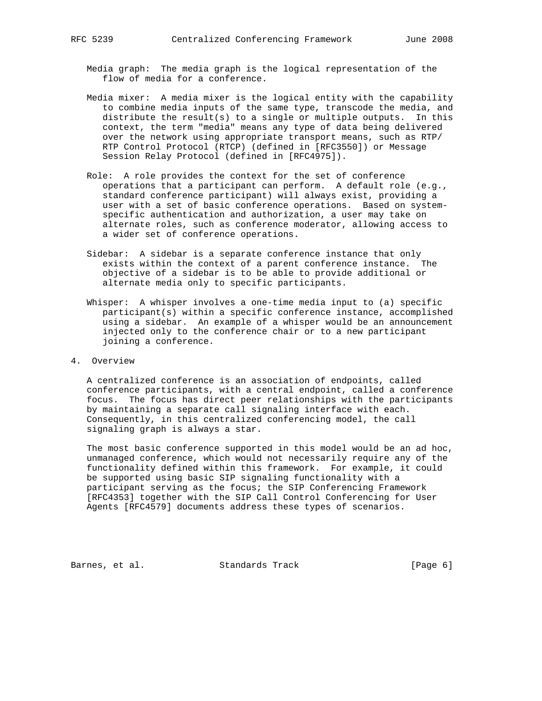Media graph: The media graph is the logical representation of the flow of media for a conference.

- Media mixer: A media mixer is the logical entity with the capability to combine media inputs of the same type, transcode the media, and distribute the result(s) to a single or multiple outputs. In this context, the term "media" means any type of data being delivered over the network using appropriate transport means, such as RTP/ RTP Control Protocol (RTCP) (defined in [RFC3550]) or Message Session Relay Protocol (defined in [RFC4975]).
- Role: A role provides the context for the set of conference operations that a participant can perform. A default role (e.g., standard conference participant) will always exist, providing a user with a set of basic conference operations. Based on system specific authentication and authorization, a user may take on alternate roles, such as conference moderator, allowing access to a wider set of conference operations.
- Sidebar: A sidebar is a separate conference instance that only exists within the context of a parent conference instance. The objective of a sidebar is to be able to provide additional or alternate media only to specific participants.
- Whisper: A whisper involves a one-time media input to (a) specific participant(s) within a specific conference instance, accomplished using a sidebar. An example of a whisper would be an announcement injected only to the conference chair or to a new participant joining a conference.
- 4. Overview

 A centralized conference is an association of endpoints, called conference participants, with a central endpoint, called a conference focus. The focus has direct peer relationships with the participants by maintaining a separate call signaling interface with each. Consequently, in this centralized conferencing model, the call signaling graph is always a star.

 The most basic conference supported in this model would be an ad hoc, unmanaged conference, which would not necessarily require any of the functionality defined within this framework. For example, it could be supported using basic SIP signaling functionality with a participant serving as the focus; the SIP Conferencing Framework [RFC4353] together with the SIP Call Control Conferencing for User Agents [RFC4579] documents address these types of scenarios.

Barnes, et al. Standards Track [Page 6]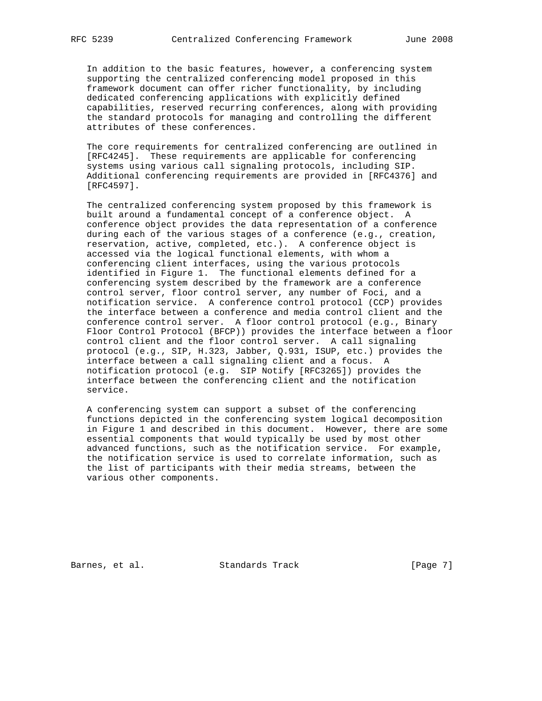In addition to the basic features, however, a conferencing system supporting the centralized conferencing model proposed in this framework document can offer richer functionality, by including dedicated conferencing applications with explicitly defined capabilities, reserved recurring conferences, along with providing the standard protocols for managing and controlling the different attributes of these conferences.

 The core requirements for centralized conferencing are outlined in [RFC4245]. These requirements are applicable for conferencing systems using various call signaling protocols, including SIP. Additional conferencing requirements are provided in [RFC4376] and [RFC4597].

 The centralized conferencing system proposed by this framework is built around a fundamental concept of a conference object. A conference object provides the data representation of a conference during each of the various stages of a conference (e.g., creation, reservation, active, completed, etc.). A conference object is accessed via the logical functional elements, with whom a conferencing client interfaces, using the various protocols identified in Figure 1. The functional elements defined for a conferencing system described by the framework are a conference control server, floor control server, any number of Foci, and a notification service. A conference control protocol (CCP) provides the interface between a conference and media control client and the conference control server. A floor control protocol (e.g., Binary Floor Control Protocol (BFCP)) provides the interface between a floor control client and the floor control server. A call signaling protocol (e.g., SIP, H.323, Jabber, Q.931, ISUP, etc.) provides the interface between a call signaling client and a focus. A notification protocol (e.g. SIP Notify [RFC3265]) provides the interface between the conferencing client and the notification service.

 A conferencing system can support a subset of the conferencing functions depicted in the conferencing system logical decomposition in Figure 1 and described in this document. However, there are some essential components that would typically be used by most other advanced functions, such as the notification service. For example, the notification service is used to correlate information, such as the list of participants with their media streams, between the various other components.

Barnes, et al. Standards Track [Page 7]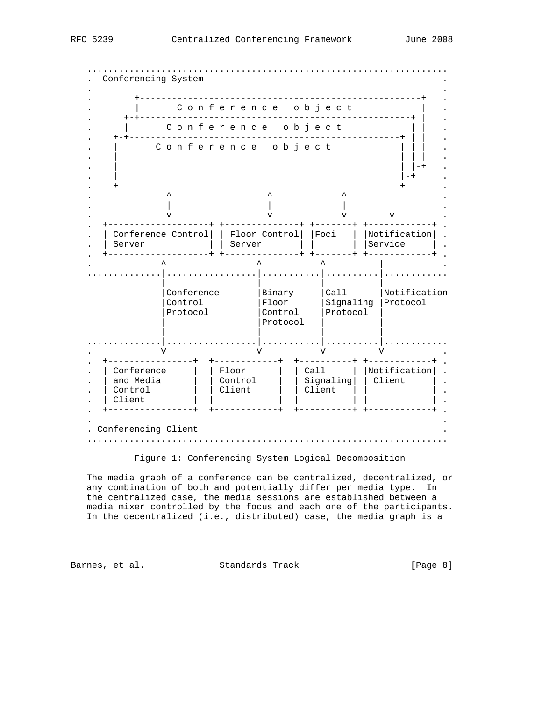.................................................................... . Conferencing System . . . . +-----------------------------------------------------+ . . | C o n f e r e n c e o b j e c t | . . +-+---------------------------------------------------+ | . . | Conference object || . . +-+---------------------------------------------------+ | | . | Conference object . | | | | . . | | |-+ . . | |-+ . . +-----------------------------------------------------+ .  $\begin{array}{ccc} \wedge & \wedge & \wedge & \wedge \\ \vert & \vert & \vert & \vert & \vert \end{array}$  . | | | | . . v v v v . . +-------------------+ +--------------+ +-------+ +------------+ . . | Conference Control| | Floor Control| | Foci | | Notification | . . | Server | | Server | | | |Service | . . +-------------------+ +--------------+ +-------+ +------------+ . . And the set of the set of the set of the set of the set of the set of the set of the set of the set of the set of the set of the set of the set of the set of the set of the set of the set of the set of the set of the se ..............|.................|...........|..........|............ | | | | |Conference |Binary |Call |Notification |Control |Floor |Signaling |Protocol |Protocol |Control |Protocol | | |Protocol | | | | | | ..............|.................|...........|..........|............ . As a vector vector vector vector vector vector vector vector vector  $\mathbf{V}$  we vector  $\mathbf{V}$  we vector  $\mathbf{V}$  . +----------------+ +------------+ +----------+ +------------+ . . | Conference | | Floor | | Call | |Notification| . . | and Media | | Control | | Signaling| | Client | . . | Control | | Client | | Client | | | . . | Client | | | | | | | . . +----------------+ +------------+ +----------+ +------------+ . . . . Conferencing Client . ....................................................................

Figure 1: Conferencing System Logical Decomposition

The media graph of a conference can be centralized, decentralized, or any combination of both and potentially differ per media type. In the centralized case, the media sessions are established between a media mixer controlled by the focus and each one of the participants. In the decentralized (i.e., distributed) case, the media graph is a

Barnes, et al. Standards Track [Page 8]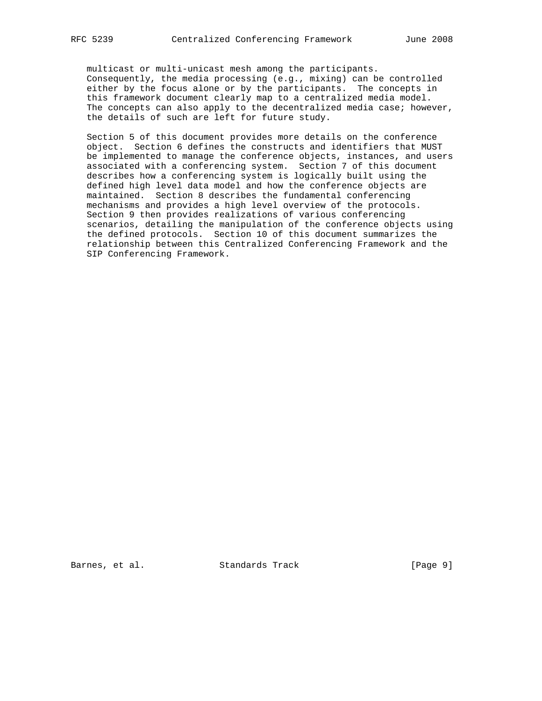multicast or multi-unicast mesh among the participants. Consequently, the media processing (e.g., mixing) can be controlled either by the focus alone or by the participants. The concepts in this framework document clearly map to a centralized media model. The concepts can also apply to the decentralized media case; however, the details of such are left for future study.

 Section 5 of this document provides more details on the conference object. Section 6 defines the constructs and identifiers that MUST be implemented to manage the conference objects, instances, and users associated with a conferencing system. Section 7 of this document describes how a conferencing system is logically built using the defined high level data model and how the conference objects are maintained. Section 8 describes the fundamental conferencing mechanisms and provides a high level overview of the protocols. Section 9 then provides realizations of various conferencing scenarios, detailing the manipulation of the conference objects using the defined protocols. Section 10 of this document summarizes the relationship between this Centralized Conferencing Framework and the SIP Conferencing Framework.

Barnes, et al. Standards Track [Page 9]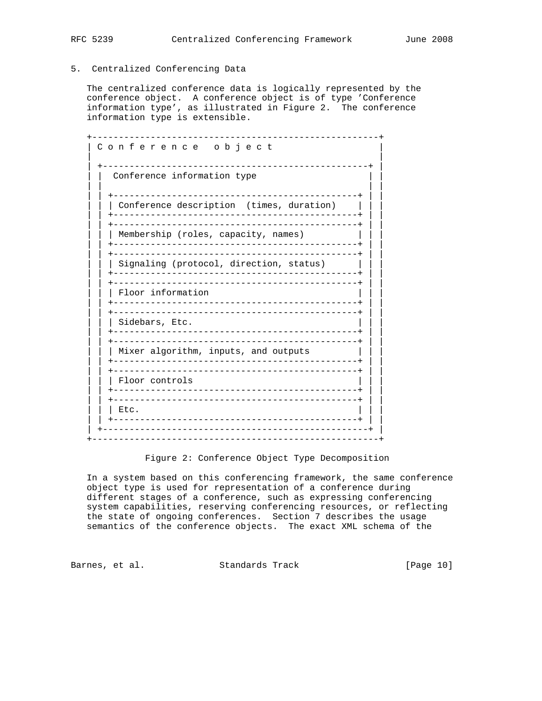# 5. Centralized Conferencing Data

 The centralized conference data is logically represented by the conference object. A conference object is of type 'Conference information type', as illustrated in Figure 2. The conference information type is extensible.

 +------------------------------------------------------+ C o n f e r e n c e o b j e c t | | | +--------------------------------------------------+ | Conference information type | | | | | | +----------------------------------------------+ | | | Conference description (times, duration) | | | +----------------------------------------------+ | | | | +----------------------------------------------+ | | | Membership (roles, capacity, names) | | +----------------------------------------------+ | | | | +----------------------------------------------+ | | | Signaling (protocol, direction, status) | | | +----------------------------------------------+ | | | | +----------------------------------------------+ | | | Floor information | | +----------------------------------------------+ | | | | +----------------------------------------------+ | | | Sidebars, Etc. | | +----------------------------------------------+ | | | | +----------------------------------------------+ | | | Mixer algorithm, inputs, and outputs | | +----------------------------------------------+ | | | | +----------------------------------------------+ | | | Floor controls | | +----------------------------------------------+ | | | | +----------------------------------------------+ | |  $|$  Etc. | | +----------------------------------------------+ | | | +--------------------------------------------------+ | +------------------------------------------------------+

Figure 2: Conference Object Type Decomposition

 In a system based on this conferencing framework, the same conference object type is used for representation of a conference during different stages of a conference, such as expressing conferencing system capabilities, reserving conferencing resources, or reflecting the state of ongoing conferences. Section 7 describes the usage semantics of the conference objects. The exact XML schema of the

Barnes, et al. Standards Track [Page 10]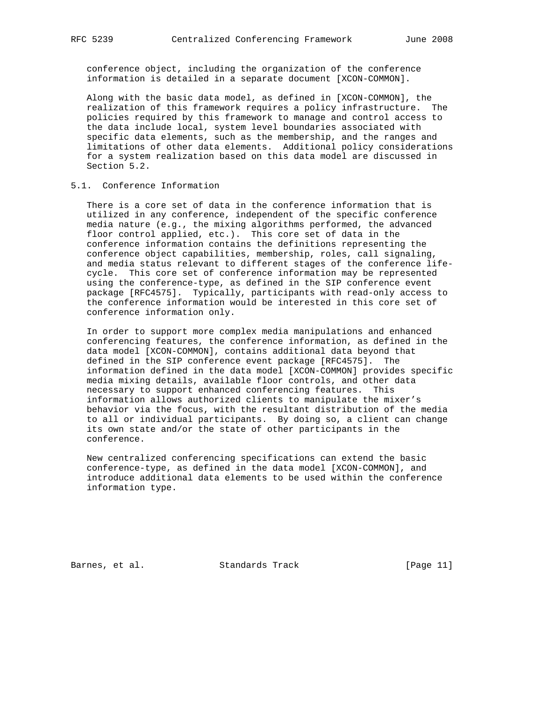conference object, including the organization of the conference information is detailed in a separate document [XCON-COMMON].

 Along with the basic data model, as defined in [XCON-COMMON], the realization of this framework requires a policy infrastructure. The policies required by this framework to manage and control access to the data include local, system level boundaries associated with specific data elements, such as the membership, and the ranges and limitations of other data elements. Additional policy considerations for a system realization based on this data model are discussed in Section 5.2.

# 5.1. Conference Information

 There is a core set of data in the conference information that is utilized in any conference, independent of the specific conference media nature (e.g., the mixing algorithms performed, the advanced floor control applied, etc.). This core set of data in the conference information contains the definitions representing the conference object capabilities, membership, roles, call signaling, and media status relevant to different stages of the conference life cycle. This core set of conference information may be represented using the conference-type, as defined in the SIP conference event package [RFC4575]. Typically, participants with read-only access to the conference information would be interested in this core set of conference information only.

 In order to support more complex media manipulations and enhanced conferencing features, the conference information, as defined in the data model [XCON-COMMON], contains additional data beyond that defined in the SIP conference event package [RFC4575]. The information defined in the data model [XCON-COMMON] provides specific media mixing details, available floor controls, and other data necessary to support enhanced conferencing features. This information allows authorized clients to manipulate the mixer's behavior via the focus, with the resultant distribution of the media to all or individual participants. By doing so, a client can change its own state and/or the state of other participants in the conference.

 New centralized conferencing specifications can extend the basic conference-type, as defined in the data model [XCON-COMMON], and introduce additional data elements to be used within the conference information type.

Barnes, et al. Standards Track [Page 11]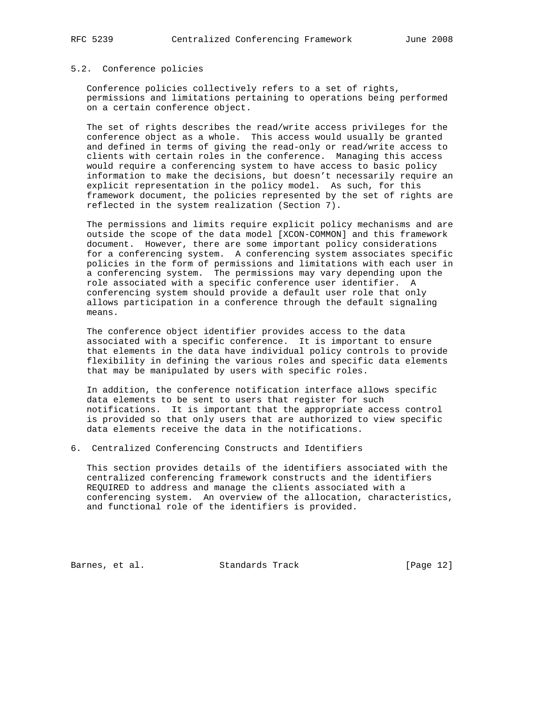# 5.2. Conference policies

 Conference policies collectively refers to a set of rights, permissions and limitations pertaining to operations being performed on a certain conference object.

 The set of rights describes the read/write access privileges for the conference object as a whole. This access would usually be granted and defined in terms of giving the read-only or read/write access to clients with certain roles in the conference. Managing this access would require a conferencing system to have access to basic policy information to make the decisions, but doesn't necessarily require an explicit representation in the policy model. As such, for this framework document, the policies represented by the set of rights are reflected in the system realization (Section 7).

 The permissions and limits require explicit policy mechanisms and are outside the scope of the data model [XCON-COMMON] and this framework document. However, there are some important policy considerations for a conferencing system. A conferencing system associates specific policies in the form of permissions and limitations with each user in a conferencing system. The permissions may vary depending upon the role associated with a specific conference user identifier. A conferencing system should provide a default user role that only allows participation in a conference through the default signaling means.

 The conference object identifier provides access to the data associated with a specific conference. It is important to ensure that elements in the data have individual policy controls to provide flexibility in defining the various roles and specific data elements that may be manipulated by users with specific roles.

 In addition, the conference notification interface allows specific data elements to be sent to users that register for such notifications. It is important that the appropriate access control is provided so that only users that are authorized to view specific data elements receive the data in the notifications.

6. Centralized Conferencing Constructs and Identifiers

 This section provides details of the identifiers associated with the centralized conferencing framework constructs and the identifiers REQUIRED to address and manage the clients associated with a conferencing system. An overview of the allocation, characteristics, and functional role of the identifiers is provided.

Barnes, et al. Standards Track [Page 12]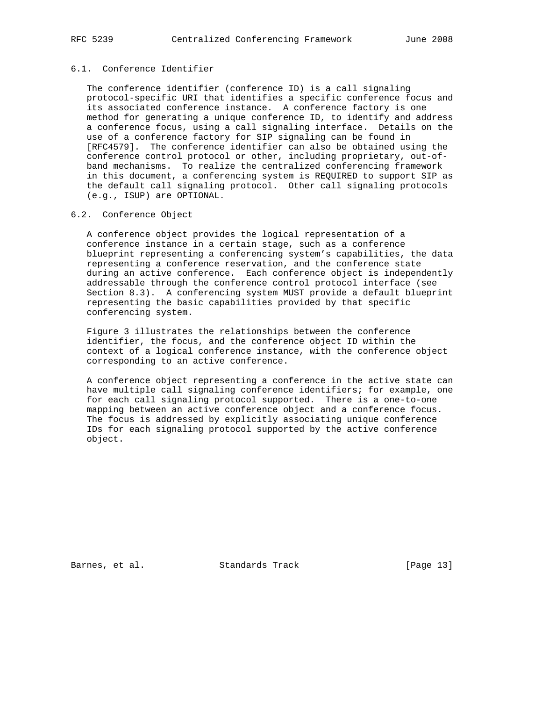# 6.1. Conference Identifier

 The conference identifier (conference ID) is a call signaling protocol-specific URI that identifies a specific conference focus and its associated conference instance. A conference factory is one method for generating a unique conference ID, to identify and address a conference focus, using a call signaling interface. Details on the use of a conference factory for SIP signaling can be found in [RFC4579]. The conference identifier can also be obtained using the conference control protocol or other, including proprietary, out-of band mechanisms. To realize the centralized conferencing framework in this document, a conferencing system is REQUIRED to support SIP as the default call signaling protocol. Other call signaling protocols (e.g., ISUP) are OPTIONAL.

#### 6.2. Conference Object

 A conference object provides the logical representation of a conference instance in a certain stage, such as a conference blueprint representing a conferencing system's capabilities, the data representing a conference reservation, and the conference state during an active conference. Each conference object is independently addressable through the conference control protocol interface (see Section 8.3). A conferencing system MUST provide a default blueprint representing the basic capabilities provided by that specific conferencing system.

 Figure 3 illustrates the relationships between the conference identifier, the focus, and the conference object ID within the context of a logical conference instance, with the conference object corresponding to an active conference.

 A conference object representing a conference in the active state can have multiple call signaling conference identifiers; for example, one for each call signaling protocol supported. There is a one-to-one mapping between an active conference object and a conference focus. The focus is addressed by explicitly associating unique conference IDs for each signaling protocol supported by the active conference object.

Barnes, et al. Standards Track [Page 13]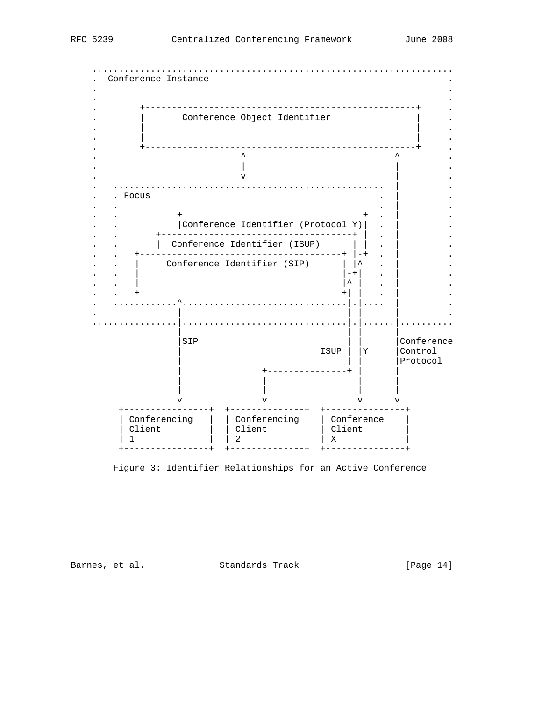.................................................................... . Conference Instance . . . . . . +---------------------------------------------------+ . . | Conference Object Identifier . | | . . | | . . +---------------------------------------------------+ . . The contract of the contract of  $\mathcal{A}$  is a set of the contract of the contract of the contract of the contract of the contract of the contract of the contract of the contract of the contract of the contract of the co . | | . . v | . . ................................................... | . . . Focus . | . . In the contract of the contract of the contract of the contract of the contract of the contract of the contract of the contract of the contract of the contract of the contract of the contract of the contract of the cont . . +----------------------------------+ . | . . . |Conference Identifier (Protocol Y)| . | . . . +------------------------------------+ | . | . . . | Conference Identifier (ISUP) | | . | . . . +--------------------------------------+ |-+ . | . . .  $\vert$  Conference Identifier (SIP)  $\vert$   $\vert$  ^ .  $\vert$  . . . . | |-+| . | . . . | |^ | . | . . . +--------------------------------------+| | . | . . ............^...............................|.|.... | . . | | | | . ................|...............................|.|......|.......... | | | | |SIP | | |Conference | ISUP | |Y |Control | | | |Protocol | +---------------+ | | | | | | | | | |  $\begin{array}{ccc} \mathbf{l} & \mathbf{l} & \mathbf{v} & \mathbf{v} \\ \mathbf{v} & \mathbf{v} & \mathbf{v} & \mathbf{v} \end{array}$  +----------------+ +--------------+ +---------------+ | Conferencing | | Conferencing | | Conference | | Client | | Client | | Client | | 1 | | 2 | | X | +----------------+ +--------------+ +---------------+



Barnes, et al. Standards Track [Page 14]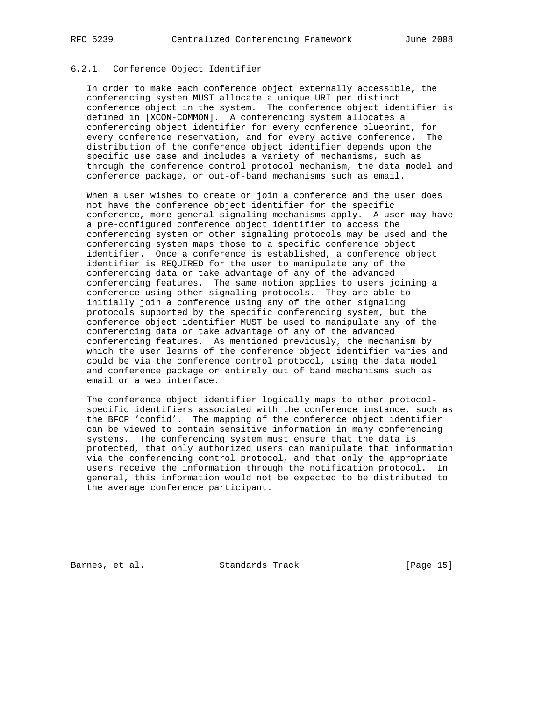# 6.2.1. Conference Object Identifier

 In order to make each conference object externally accessible, the conferencing system MUST allocate a unique URI per distinct conference object in the system. The conference object identifier is defined in [XCON-COMMON]. A conferencing system allocates a conferencing object identifier for every conference blueprint, for every conference reservation, and for every active conference. The distribution of the conference object identifier depends upon the specific use case and includes a variety of mechanisms, such as through the conference control protocol mechanism, the data model and conference package, or out-of-band mechanisms such as email.

 When a user wishes to create or join a conference and the user does not have the conference object identifier for the specific conference, more general signaling mechanisms apply. A user may have a pre-configured conference object identifier to access the conferencing system or other signaling protocols may be used and the conferencing system maps those to a specific conference object identifier. Once a conference is established, a conference object identifier is REQUIRED for the user to manipulate any of the conferencing data or take advantage of any of the advanced conferencing features. The same notion applies to users joining a conference using other signaling protocols. They are able to initially join a conference using any of the other signaling protocols supported by the specific conferencing system, but the conference object identifier MUST be used to manipulate any of the conferencing data or take advantage of any of the advanced conferencing features. As mentioned previously, the mechanism by which the user learns of the conference object identifier varies and could be via the conference control protocol, using the data model and conference package or entirely out of band mechanisms such as email or a web interface.

 The conference object identifier logically maps to other protocol specific identifiers associated with the conference instance, such as the BFCP 'confid'. The mapping of the conference object identifier can be viewed to contain sensitive information in many conferencing systems. The conferencing system must ensure that the data is protected, that only authorized users can manipulate that information via the conferencing control protocol, and that only the appropriate users receive the information through the notification protocol. In general, this information would not be expected to be distributed to the average conference participant.

Barnes, et al. Standards Track [Page 15]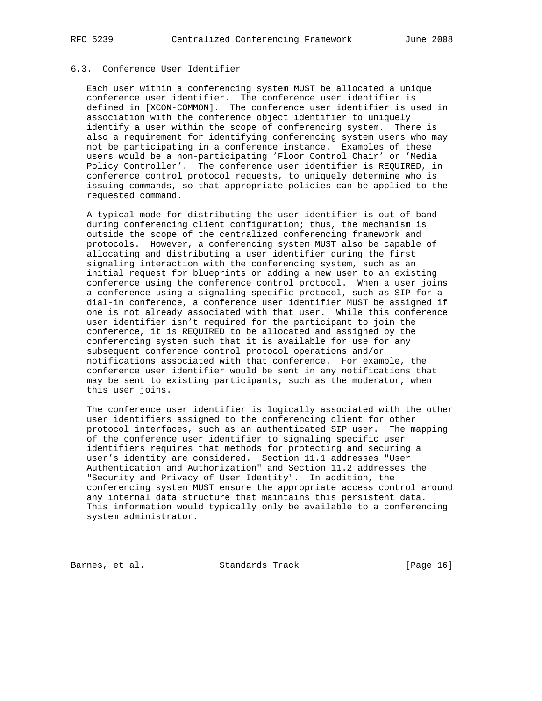# 6.3. Conference User Identifier

 Each user within a conferencing system MUST be allocated a unique conference user identifier. The conference user identifier is defined in [XCON-COMMON]. The conference user identifier is used in association with the conference object identifier to uniquely identify a user within the scope of conferencing system. There is also a requirement for identifying conferencing system users who may not be participating in a conference instance. Examples of these users would be a non-participating 'Floor Control Chair' or 'Media Policy Controller'. The conference user identifier is REQUIRED, in conference control protocol requests, to uniquely determine who is issuing commands, so that appropriate policies can be applied to the requested command.

 A typical mode for distributing the user identifier is out of band during conferencing client configuration; thus, the mechanism is outside the scope of the centralized conferencing framework and protocols. However, a conferencing system MUST also be capable of allocating and distributing a user identifier during the first signaling interaction with the conferencing system, such as an initial request for blueprints or adding a new user to an existing conference using the conference control protocol. When a user joins a conference using a signaling-specific protocol, such as SIP for a dial-in conference, a conference user identifier MUST be assigned if one is not already associated with that user. While this conference user identifier isn't required for the participant to join the conference, it is REQUIRED to be allocated and assigned by the conferencing system such that it is available for use for any subsequent conference control protocol operations and/or notifications associated with that conference. For example, the conference user identifier would be sent in any notifications that may be sent to existing participants, such as the moderator, when this user joins.

 The conference user identifier is logically associated with the other user identifiers assigned to the conferencing client for other protocol interfaces, such as an authenticated SIP user. The mapping of the conference user identifier to signaling specific user identifiers requires that methods for protecting and securing a user's identity are considered. Section 11.1 addresses "User Authentication and Authorization" and Section 11.2 addresses the "Security and Privacy of User Identity". In addition, the conferencing system MUST ensure the appropriate access control around any internal data structure that maintains this persistent data. This information would typically only be available to a conferencing system administrator.

Barnes, et al. Standards Track [Page 16]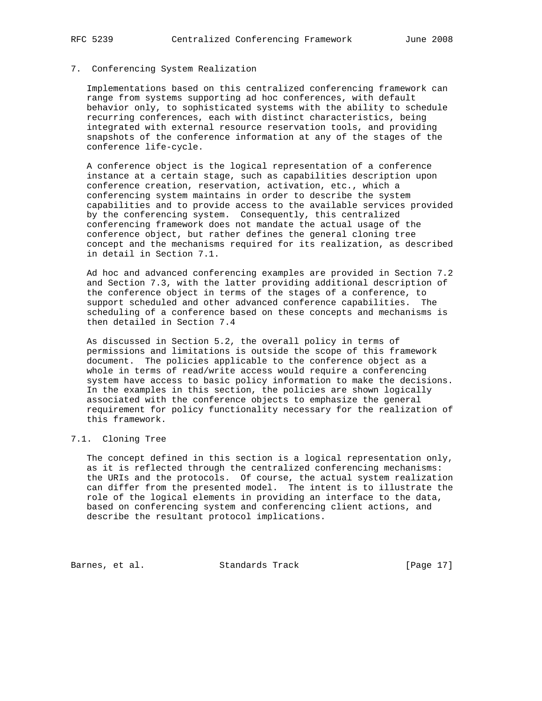# 7. Conferencing System Realization

 Implementations based on this centralized conferencing framework can range from systems supporting ad hoc conferences, with default behavior only, to sophisticated systems with the ability to schedule recurring conferences, each with distinct characteristics, being integrated with external resource reservation tools, and providing snapshots of the conference information at any of the stages of the conference life-cycle.

 A conference object is the logical representation of a conference instance at a certain stage, such as capabilities description upon conference creation, reservation, activation, etc., which a conferencing system maintains in order to describe the system capabilities and to provide access to the available services provided by the conferencing system. Consequently, this centralized conferencing framework does not mandate the actual usage of the conference object, but rather defines the general cloning tree concept and the mechanisms required for its realization, as described in detail in Section 7.1.

 Ad hoc and advanced conferencing examples are provided in Section 7.2 and Section 7.3, with the latter providing additional description of the conference object in terms of the stages of a conference, to support scheduled and other advanced conference capabilities. The scheduling of a conference based on these concepts and mechanisms is then detailed in Section 7.4

 As discussed in Section 5.2, the overall policy in terms of permissions and limitations is outside the scope of this framework document. The policies applicable to the conference object as a whole in terms of read/write access would require a conferencing system have access to basic policy information to make the decisions. In the examples in this section, the policies are shown logically associated with the conference objects to emphasize the general requirement for policy functionality necessary for the realization of this framework.

# 7.1. Cloning Tree

 The concept defined in this section is a logical representation only, as it is reflected through the centralized conferencing mechanisms: the URIs and the protocols. Of course, the actual system realization can differ from the presented model. The intent is to illustrate the role of the logical elements in providing an interface to the data, based on conferencing system and conferencing client actions, and describe the resultant protocol implications.

Barnes, et al. Standards Track [Page 17]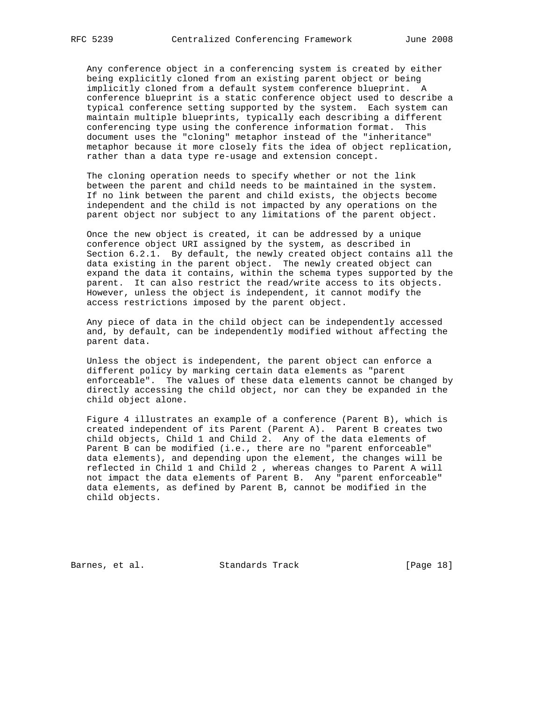Any conference object in a conferencing system is created by either being explicitly cloned from an existing parent object or being implicitly cloned from a default system conference blueprint. A conference blueprint is a static conference object used to describe a typical conference setting supported by the system. Each system can maintain multiple blueprints, typically each describing a different conferencing type using the conference information format. This document uses the "cloning" metaphor instead of the "inheritance" metaphor because it more closely fits the idea of object replication, rather than a data type re-usage and extension concept.

 The cloning operation needs to specify whether or not the link between the parent and child needs to be maintained in the system. If no link between the parent and child exists, the objects become independent and the child is not impacted by any operations on the parent object nor subject to any limitations of the parent object.

 Once the new object is created, it can be addressed by a unique conference object URI assigned by the system, as described in Section 6.2.1. By default, the newly created object contains all the data existing in the parent object. The newly created object can expand the data it contains, within the schema types supported by the parent. It can also restrict the read/write access to its objects. However, unless the object is independent, it cannot modify the access restrictions imposed by the parent object.

 Any piece of data in the child object can be independently accessed and, by default, can be independently modified without affecting the parent data.

 Unless the object is independent, the parent object can enforce a different policy by marking certain data elements as "parent enforceable". The values of these data elements cannot be changed by directly accessing the child object, nor can they be expanded in the child object alone.

 Figure 4 illustrates an example of a conference (Parent B), which is created independent of its Parent (Parent A). Parent B creates two child objects, Child 1 and Child 2. Any of the data elements of Parent B can be modified (i.e., there are no "parent enforceable" data elements), and depending upon the element, the changes will be reflected in Child 1 and Child 2 , whereas changes to Parent A will not impact the data elements of Parent B. Any "parent enforceable" data elements, as defined by Parent B, cannot be modified in the child objects.

Barnes, et al. Standards Track [Page 18]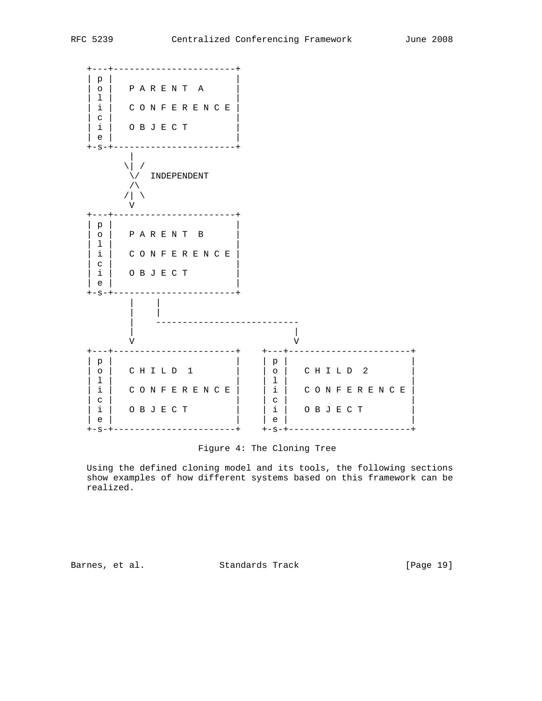|                                                   | ----------------------                               |                                                                                                                                                                 |
|---------------------------------------------------|------------------------------------------------------|-----------------------------------------------------------------------------------------------------------------------------------------------------------------|
| p<br>$\circ$<br>1<br>i<br>$\mathtt{C}$<br>i.<br>e | PARENT A<br>CONFERENCE<br>OBJECT                     |                                                                                                                                                                 |
|                                                   | -S-+------------------------+<br>\/ INDEPENDENT<br>V |                                                                                                                                                                 |
| p<br>$\circ$<br>1<br>i<br>C<br>i.<br>e            | ---------------<br>PARENT B<br>CONFERENCE<br>OBJECT  |                                                                                                                                                                 |
| -s-+                                              | ---------------<br>$\mathbf{V}$                      | $\mathbf{V}$                                                                                                                                                    |
| p<br>$\circ$<br>ı<br>i<br>C<br>i<br>e<br>$S - 1$  | ---------------<br>CHILD 1<br>CONFERENCE<br>OBJECT   | +---+----------------<br>p<br>CHILD <sub>2</sub><br>$\circ$  <br>1<br>i   CONFERENCE<br>$\mathbf{C}$<br>OBJECT<br>$i \perp$<br>e<br>+-s-+---------------------- |

Figure 4: The Cloning Tree

 Using the defined cloning model and its tools, the following sections show examples of how different systems based on this framework can be realized.

Barnes, et al. Standards Track [Page 19]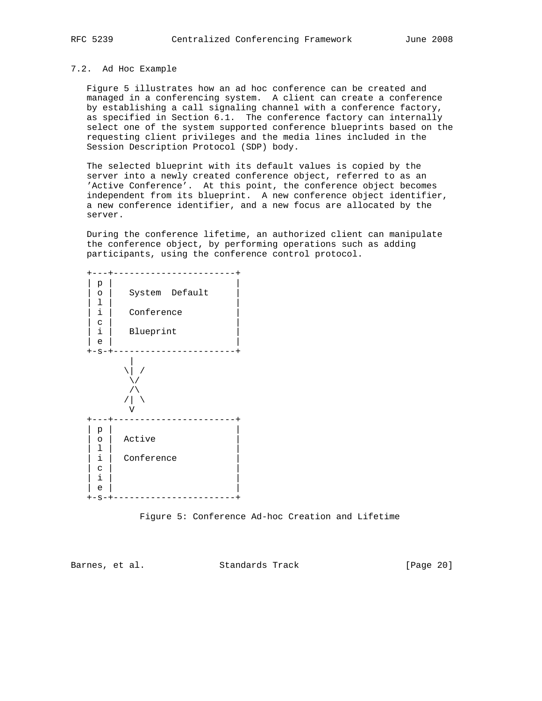## 7.2. Ad Hoc Example

 Figure 5 illustrates how an ad hoc conference can be created and managed in a conferencing system. A client can create a conference by establishing a call signaling channel with a conference factory, as specified in Section 6.1. The conference factory can internally select one of the system supported conference blueprints based on the requesting client privileges and the media lines included in the Session Description Protocol (SDP) body.

 The selected blueprint with its default values is copied by the server into a newly created conference object, referred to as an 'Active Conference'. At this point, the conference object becomes independent from its blueprint. A new conference object identifier, a new conference identifier, and a new focus are allocated by the server.

 During the conference lifetime, an authorized client can manipulate the conference object, by performing operations such as adding participants, using the conference control protocol.

| p<br>$\circ$<br>$\mathbf 1$<br>$\dot{\mathbbm{1}}$<br>C<br>$\mathtt{i}$<br>e | System Default<br>Conference<br>Blueprint |
|------------------------------------------------------------------------------|-------------------------------------------|
| +-s                                                                          |                                           |
|                                                                              | ٦T                                        |
|                                                                              |                                           |
| p<br>$\circ$<br>ı                                                            | Active                                    |
| $\dot{\mathtt{l}}$                                                           | Conference                                |
| $\mathtt{C}$                                                                 |                                           |
| $\dot{\mathbbm{1}}$                                                          |                                           |
| e                                                                            |                                           |
|                                                                              |                                           |
| S                                                                            |                                           |



Barnes, et al. Standards Track [Page 20]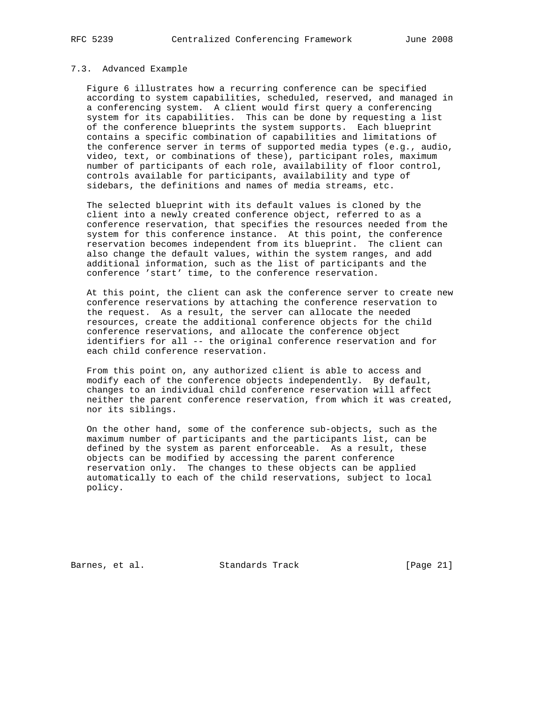# 7.3. Advanced Example

 Figure 6 illustrates how a recurring conference can be specified according to system capabilities, scheduled, reserved, and managed in a conferencing system. A client would first query a conferencing system for its capabilities. This can be done by requesting a list of the conference blueprints the system supports. Each blueprint contains a specific combination of capabilities and limitations of the conference server in terms of supported media types (e.g., audio, video, text, or combinations of these), participant roles, maximum number of participants of each role, availability of floor control, controls available for participants, availability and type of sidebars, the definitions and names of media streams, etc.

 The selected blueprint with its default values is cloned by the client into a newly created conference object, referred to as a conference reservation, that specifies the resources needed from the system for this conference instance. At this point, the conference reservation becomes independent from its blueprint. The client can also change the default values, within the system ranges, and add additional information, such as the list of participants and the conference 'start' time, to the conference reservation.

 At this point, the client can ask the conference server to create new conference reservations by attaching the conference reservation to the request. As a result, the server can allocate the needed resources, create the additional conference objects for the child conference reservations, and allocate the conference object identifiers for all -- the original conference reservation and for each child conference reservation.

 From this point on, any authorized client is able to access and modify each of the conference objects independently. By default, changes to an individual child conference reservation will affect neither the parent conference reservation, from which it was created, nor its siblings.

 On the other hand, some of the conference sub-objects, such as the maximum number of participants and the participants list, can be defined by the system as parent enforceable. As a result, these objects can be modified by accessing the parent conference reservation only. The changes to these objects can be applied automatically to each of the child reservations, subject to local policy.

Barnes, et al. Standards Track [Page 21]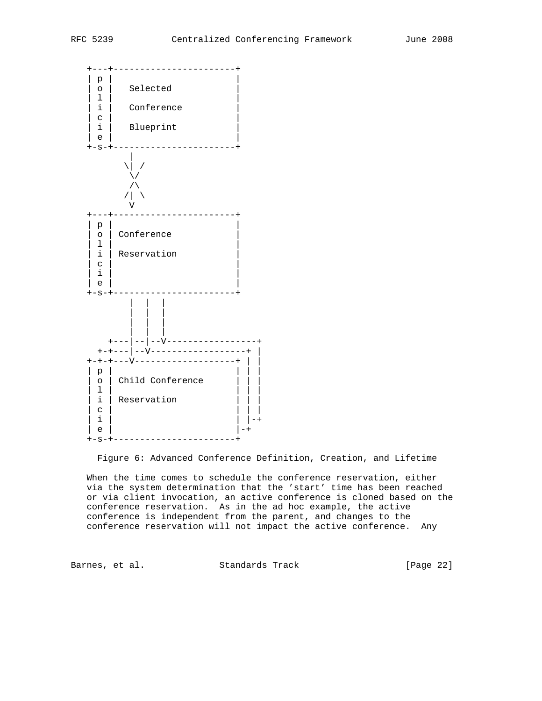

Figure 6: Advanced Conference Definition, Creation, and Lifetime

 When the time comes to schedule the conference reservation, either via the system determination that the 'start' time has been reached or via client invocation, an active conference is cloned based on the conference reservation. As in the ad hoc example, the active conference is independent from the parent, and changes to the conference reservation will not impact the active conference. Any

Barnes, et al. Standards Track [Page 22]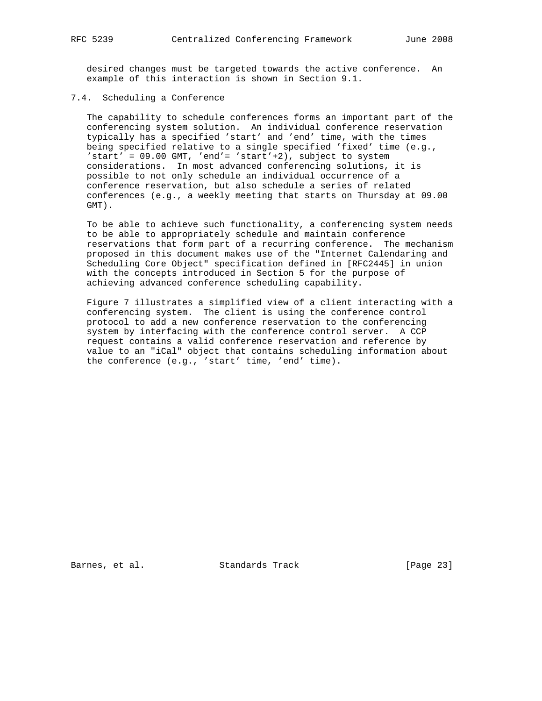desired changes must be targeted towards the active conference. An example of this interaction is shown in Section 9.1.

#### 7.4. Scheduling a Conference

 The capability to schedule conferences forms an important part of the conferencing system solution. An individual conference reservation typically has a specified 'start' and 'end' time, with the times being specified relative to a single specified 'fixed' time (e.g., 'start' =  $09.00$  GMT, 'end'= 'start'+2), subject to system considerations. In most advanced conferencing solutions, it is possible to not only schedule an individual occurrence of a conference reservation, but also schedule a series of related conferences (e.g., a weekly meeting that starts on Thursday at 09.00 GMT).

 To be able to achieve such functionality, a conferencing system needs to be able to appropriately schedule and maintain conference reservations that form part of a recurring conference. The mechanism proposed in this document makes use of the "Internet Calendaring and Scheduling Core Object" specification defined in [RFC2445] in union with the concepts introduced in Section 5 for the purpose of achieving advanced conference scheduling capability.

 Figure 7 illustrates a simplified view of a client interacting with a conferencing system. The client is using the conference control protocol to add a new conference reservation to the conferencing system by interfacing with the conference control server. A CCP request contains a valid conference reservation and reference by value to an "iCal" object that contains scheduling information about the conference (e.g., 'start' time, 'end' time).

Barnes, et al. Standards Track [Page 23]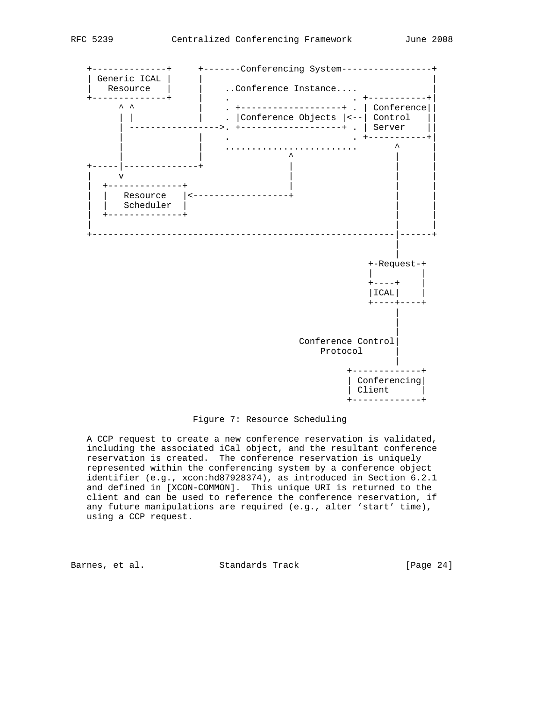

Figure 7: Resource Scheduling

 A CCP request to create a new conference reservation is validated, including the associated iCal object, and the resultant conference reservation is created. The conference reservation is uniquely represented within the conferencing system by a conference object identifier (e.g., xcon:hd87928374), as introduced in Section 6.2.1 and defined in [XCON-COMMON]. This unique URI is returned to the client and can be used to reference the conference reservation, if any future manipulations are required (e.g., alter 'start' time), using a CCP request.

Barnes, et al. Standards Track [Page 24]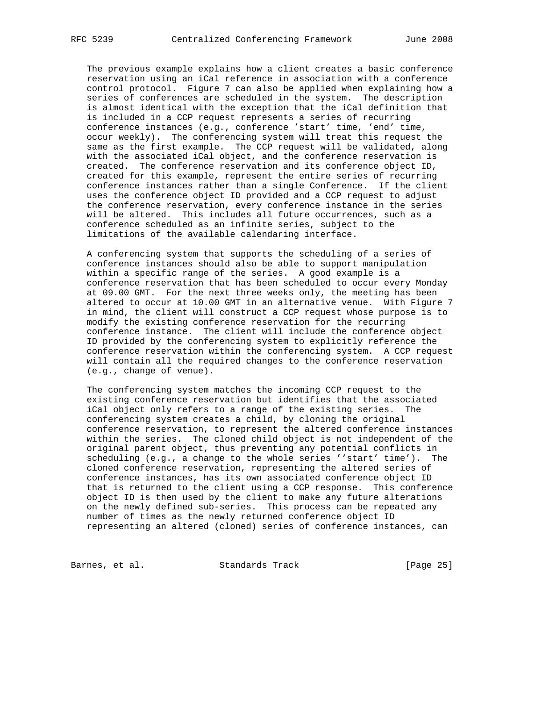The previous example explains how a client creates a basic conference reservation using an iCal reference in association with a conference control protocol. Figure 7 can also be applied when explaining how a series of conferences are scheduled in the system. The description is almost identical with the exception that the iCal definition that is included in a CCP request represents a series of recurring conference instances (e.g., conference 'start' time, 'end' time, occur weekly). The conferencing system will treat this request the same as the first example. The CCP request will be validated, along with the associated iCal object, and the conference reservation is created. The conference reservation and its conference object ID, created for this example, represent the entire series of recurring conference instances rather than a single Conference. If the client uses the conference object ID provided and a CCP request to adjust the conference reservation, every conference instance in the series will be altered. This includes all future occurrences, such as a conference scheduled as an infinite series, subject to the limitations of the available calendaring interface.

 A conferencing system that supports the scheduling of a series of conference instances should also be able to support manipulation within a specific range of the series. A good example is a conference reservation that has been scheduled to occur every Monday at 09.00 GMT. For the next three weeks only, the meeting has been altered to occur at 10.00 GMT in an alternative venue. With Figure 7 in mind, the client will construct a CCP request whose purpose is to modify the existing conference reservation for the recurring conference instance. The client will include the conference object ID provided by the conferencing system to explicitly reference the conference reservation within the conferencing system. A CCP request will contain all the required changes to the conference reservation (e.g., change of venue).

 The conferencing system matches the incoming CCP request to the existing conference reservation but identifies that the associated iCal object only refers to a range of the existing series. The conferencing system creates a child, by cloning the original conference reservation, to represent the altered conference instances within the series. The cloned child object is not independent of the original parent object, thus preventing any potential conflicts in scheduling (e.g., a change to the whole series ''start' time'). The cloned conference reservation, representing the altered series of conference instances, has its own associated conference object ID that is returned to the client using a CCP response. This conference object ID is then used by the client to make any future alterations on the newly defined sub-series. This process can be repeated any number of times as the newly returned conference object ID representing an altered (cloned) series of conference instances, can

Barnes, et al. Standards Track [Page 25]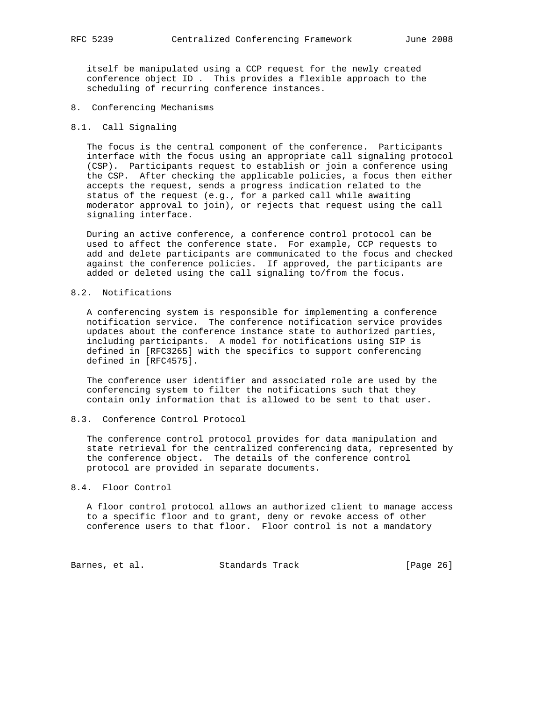itself be manipulated using a CCP request for the newly created conference object ID . This provides a flexible approach to the scheduling of recurring conference instances.

- 8. Conferencing Mechanisms
- 8.1. Call Signaling

 The focus is the central component of the conference. Participants interface with the focus using an appropriate call signaling protocol (CSP). Participants request to establish or join a conference using the CSP. After checking the applicable policies, a focus then either accepts the request, sends a progress indication related to the status of the request (e.g., for a parked call while awaiting moderator approval to join), or rejects that request using the call signaling interface.

 During an active conference, a conference control protocol can be used to affect the conference state. For example, CCP requests to add and delete participants are communicated to the focus and checked against the conference policies. If approved, the participants are added or deleted using the call signaling to/from the focus.

#### 8.2. Notifications

 A conferencing system is responsible for implementing a conference notification service. The conference notification service provides updates about the conference instance state to authorized parties, including participants. A model for notifications using SIP is defined in [RFC3265] with the specifics to support conferencing defined in [RFC4575].

 The conference user identifier and associated role are used by the conferencing system to filter the notifications such that they contain only information that is allowed to be sent to that user.

# 8.3. Conference Control Protocol

 The conference control protocol provides for data manipulation and state retrieval for the centralized conferencing data, represented by the conference object. The details of the conference control protocol are provided in separate documents.

#### 8.4. Floor Control

 A floor control protocol allows an authorized client to manage access to a specific floor and to grant, deny or revoke access of other conference users to that floor. Floor control is not a mandatory

Barnes, et al. Standards Track [Page 26]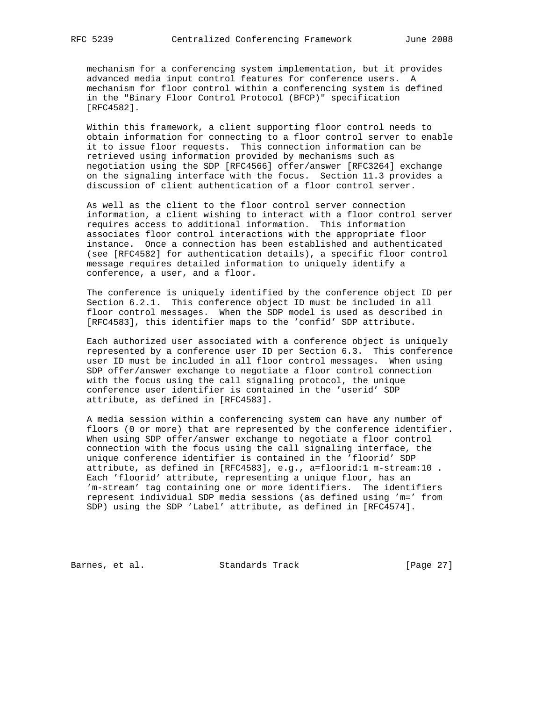mechanism for a conferencing system implementation, but it provides advanced media input control features for conference users. A mechanism for floor control within a conferencing system is defined in the "Binary Floor Control Protocol (BFCP)" specification [RFC4582].

 Within this framework, a client supporting floor control needs to obtain information for connecting to a floor control server to enable it to issue floor requests. This connection information can be retrieved using information provided by mechanisms such as negotiation using the SDP [RFC4566] offer/answer [RFC3264] exchange on the signaling interface with the focus. Section 11.3 provides a discussion of client authentication of a floor control server.

 As well as the client to the floor control server connection information, a client wishing to interact with a floor control server requires access to additional information. This information associates floor control interactions with the appropriate floor instance. Once a connection has been established and authenticated (see [RFC4582] for authentication details), a specific floor control message requires detailed information to uniquely identify a conference, a user, and a floor.

 The conference is uniquely identified by the conference object ID per Section 6.2.1. This conference object ID must be included in all floor control messages. When the SDP model is used as described in [RFC4583], this identifier maps to the 'confid' SDP attribute.

 Each authorized user associated with a conference object is uniquely represented by a conference user ID per Section 6.3. This conference user ID must be included in all floor control messages. When using SDP offer/answer exchange to negotiate a floor control connection with the focus using the call signaling protocol, the unique conference user identifier is contained in the 'userid' SDP attribute, as defined in [RFC4583].

 A media session within a conferencing system can have any number of floors (0 or more) that are represented by the conference identifier. When using SDP offer/answer exchange to negotiate a floor control connection with the focus using the call signaling interface, the unique conference identifier is contained in the 'floorid' SDP attribute, as defined in [RFC4583], e.g., a=floorid:1 m-stream:10 . Each 'floorid' attribute, representing a unique floor, has an 'm-stream' tag containing one or more identifiers. The identifiers represent individual SDP media sessions (as defined using 'm=' from SDP) using the SDP 'Label' attribute, as defined in [RFC4574].

Barnes, et al. Standards Track [Page 27]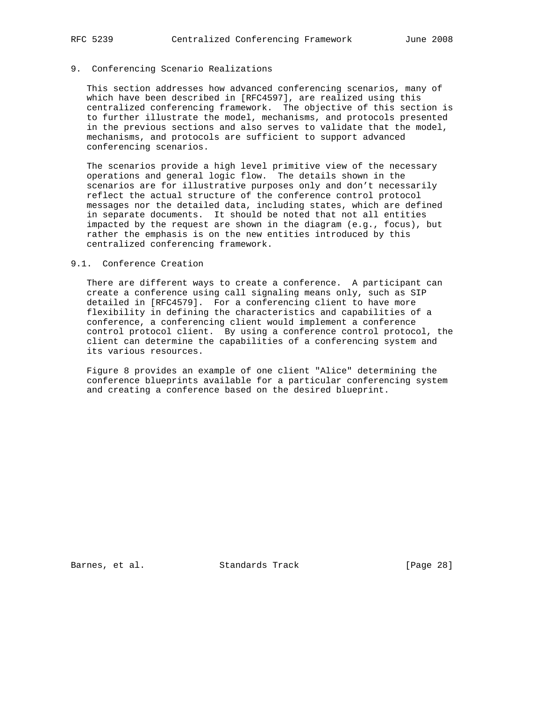## 9. Conferencing Scenario Realizations

 This section addresses how advanced conferencing scenarios, many of which have been described in [RFC4597], are realized using this centralized conferencing framework. The objective of this section is to further illustrate the model, mechanisms, and protocols presented in the previous sections and also serves to validate that the model, mechanisms, and protocols are sufficient to support advanced conferencing scenarios.

 The scenarios provide a high level primitive view of the necessary operations and general logic flow. The details shown in the scenarios are for illustrative purposes only and don't necessarily reflect the actual structure of the conference control protocol messages nor the detailed data, including states, which are defined in separate documents. It should be noted that not all entities impacted by the request are shown in the diagram (e.g., focus), but rather the emphasis is on the new entities introduced by this centralized conferencing framework.

#### 9.1. Conference Creation

 There are different ways to create a conference. A participant can create a conference using call signaling means only, such as SIP detailed in [RFC4579]. For a conferencing client to have more flexibility in defining the characteristics and capabilities of a conference, a conferencing client would implement a conference control protocol client. By using a conference control protocol, the client can determine the capabilities of a conferencing system and its various resources.

 Figure 8 provides an example of one client "Alice" determining the conference blueprints available for a particular conferencing system and creating a conference based on the desired blueprint.

Barnes, et al. Standards Track [Page 28]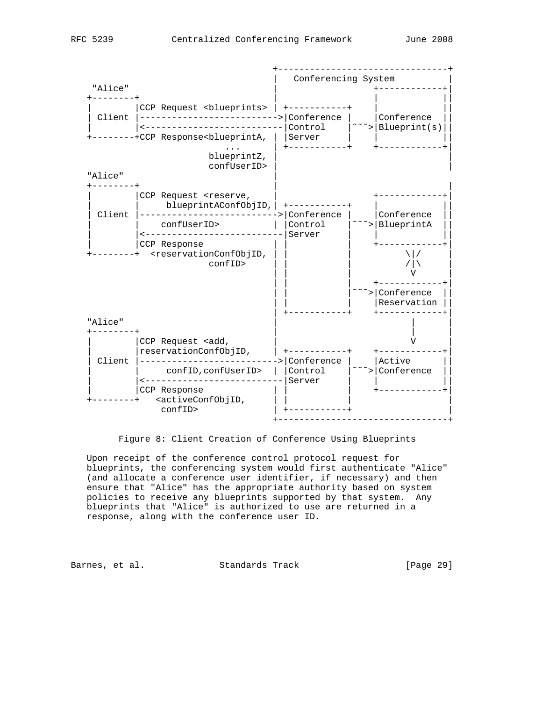

Figure 8: Client Creation of Conference Using Blueprints

 Upon receipt of the conference control protocol request for blueprints, the conferencing system would first authenticate "Alice" (and allocate a conference user identifier, if necessary) and then ensure that "Alice" has the appropriate authority based on system policies to receive any blueprints supported by that system. Any blueprints that "Alice" is authorized to use are returned in a response, along with the conference user ID.

Barnes, et al. Standards Track [Page 29]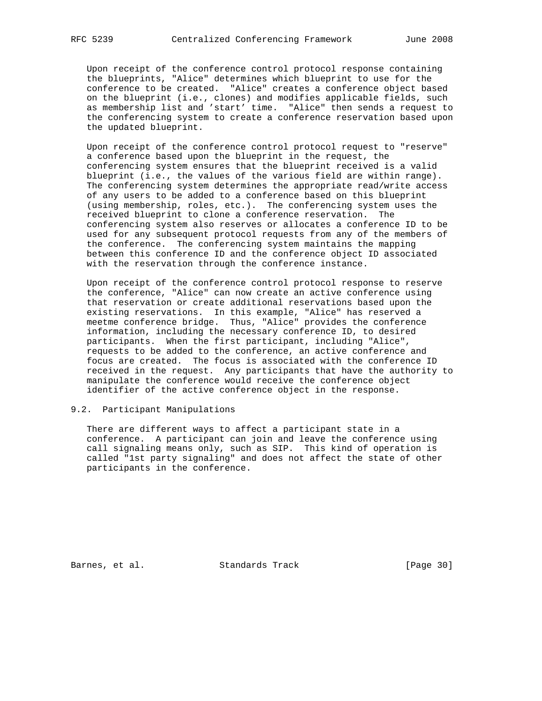Upon receipt of the conference control protocol response containing the blueprints, "Alice" determines which blueprint to use for the conference to be created. "Alice" creates a conference object based on the blueprint (i.e., clones) and modifies applicable fields, such as membership list and 'start' time. "Alice" then sends a request to the conferencing system to create a conference reservation based upon the updated blueprint.

 Upon receipt of the conference control protocol request to "reserve" a conference based upon the blueprint in the request, the conferencing system ensures that the blueprint received is a valid blueprint (i.e., the values of the various field are within range). The conferencing system determines the appropriate read/write access of any users to be added to a conference based on this blueprint (using membership, roles, etc.). The conferencing system uses the received blueprint to clone a conference reservation. The conferencing system also reserves or allocates a conference ID to be used for any subsequent protocol requests from any of the members of the conference. The conferencing system maintains the mapping between this conference ID and the conference object ID associated with the reservation through the conference instance.

 Upon receipt of the conference control protocol response to reserve the conference, "Alice" can now create an active conference using that reservation or create additional reservations based upon the existing reservations. In this example, "Alice" has reserved a meetme conference bridge. Thus, "Alice" provides the conference information, including the necessary conference ID, to desired participants. When the first participant, including "Alice", requests to be added to the conference, an active conference and focus are created. The focus is associated with the conference ID received in the request. Any participants that have the authority to manipulate the conference would receive the conference object identifier of the active conference object in the response.

#### 9.2. Participant Manipulations

 There are different ways to affect a participant state in a conference. A participant can join and leave the conference using call signaling means only, such as SIP. This kind of operation is called "1st party signaling" and does not affect the state of other participants in the conference.

Barnes, et al. Standards Track [Page 30]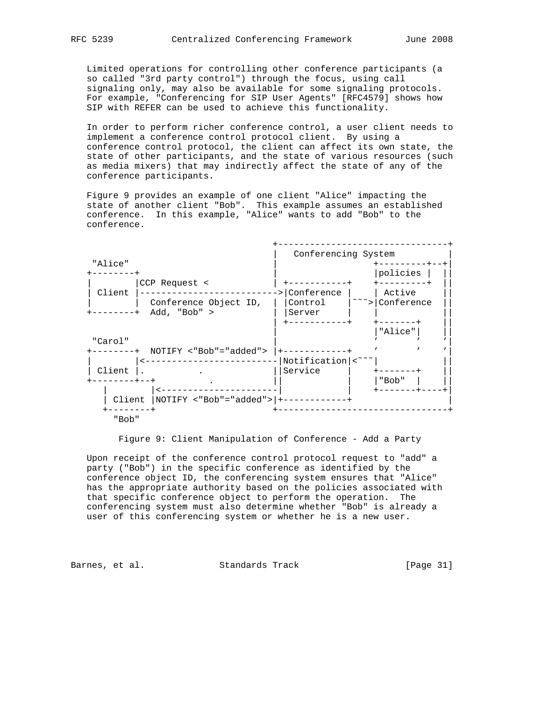Limited operations for controlling other conference participants (a so called "3rd party control") through the focus, using call signaling only, may also be available for some signaling protocols. For example, "Conferencing for SIP User Agents" [RFC4579] shows how SIP with REFER can be used to achieve this functionality.

 In order to perform richer conference control, a user client needs to implement a conference control protocol client. By using a conference control protocol, the client can affect its own state, the state of other participants, and the state of various resources (such as media mixers) that may indirectly affect the state of any of the conference participants.

 Figure 9 provides an example of one client "Alice" impacting the state of another client "Bob". This example assumes an established conference. In this example, "Alice" wants to add "Bob" to the conference.

|         |                                   | Conferencing System |                   |  |  |
|---------|-----------------------------------|---------------------|-------------------|--|--|
| "Alice" |                                   |                     | policies          |  |  |
| Client  | CCP Request <                     | Conference          | Active            |  |  |
|         | Conference Object ID,             | Control             | ~~~>   Conference |  |  |
|         | Add, "Bob" >                      | Server              |                   |  |  |
| "Carol" |                                   |                     | "Alice"           |  |  |
|         | $NOTIFY < "Bob" = "added" >$      |                     |                   |  |  |
|         |                                   | Notification $ 2$   |                   |  |  |
| Client  | $+ - - +$                         | Service             | "Bob"             |  |  |
| Client  | $ NOTIFY < "Bob" = "added" >   +$ |                     |                   |  |  |
| "Bob"   |                                   |                     |                   |  |  |

Figure 9: Client Manipulation of Conference - Add a Party

 Upon receipt of the conference control protocol request to "add" a party ("Bob") in the specific conference as identified by the conference object ID, the conferencing system ensures that "Alice" has the appropriate authority based on the policies associated with that specific conference object to perform the operation. The conferencing system must also determine whether "Bob" is already a user of this conferencing system or whether he is a new user.

Barnes, et al. Standards Track [Page 31]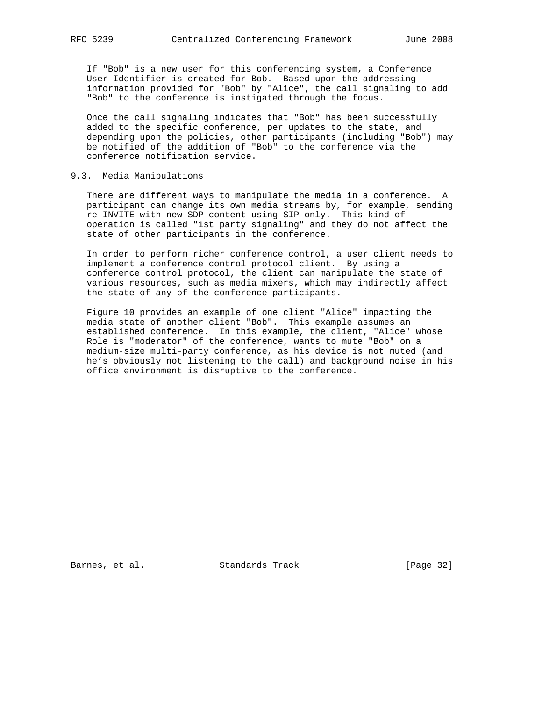If "Bob" is a new user for this conferencing system, a Conference User Identifier is created for Bob. Based upon the addressing information provided for "Bob" by "Alice", the call signaling to add "Bob" to the conference is instigated through the focus.

 Once the call signaling indicates that "Bob" has been successfully added to the specific conference, per updates to the state, and depending upon the policies, other participants (including "Bob") may be notified of the addition of "Bob" to the conference via the conference notification service.

## 9.3. Media Manipulations

 There are different ways to manipulate the media in a conference. A participant can change its own media streams by, for example, sending re-INVITE with new SDP content using SIP only. This kind of operation is called "1st party signaling" and they do not affect the state of other participants in the conference.

 In order to perform richer conference control, a user client needs to implement a conference control protocol client. By using a conference control protocol, the client can manipulate the state of various resources, such as media mixers, which may indirectly affect the state of any of the conference participants.

 Figure 10 provides an example of one client "Alice" impacting the media state of another client "Bob". This example assumes an established conference. In this example, the client, "Alice" whose Role is "moderator" of the conference, wants to mute "Bob" on a medium-size multi-party conference, as his device is not muted (and he's obviously not listening to the call) and background noise in his office environment is disruptive to the conference.

Barnes, et al. Standards Track [Page 32]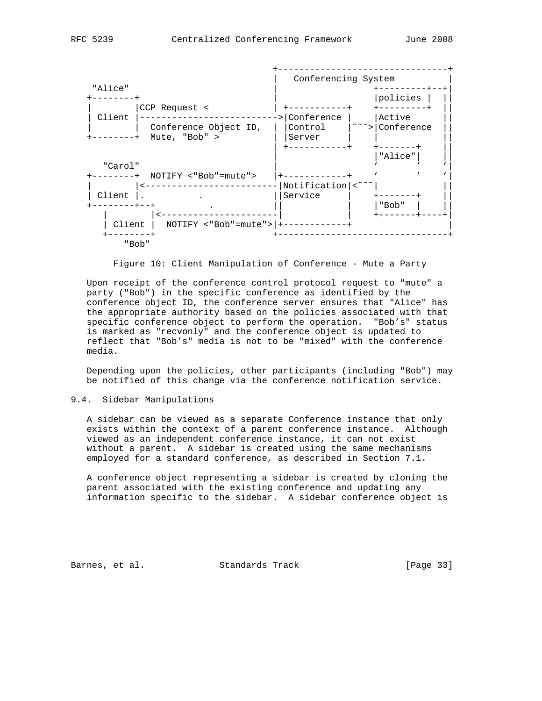+--------------------------------+ Conferencing System "Alice" | +---------+----|<br>|---------+ | policies | | +--------+ | |policies | || | |CCP Request < | +-----------+ +---------+ || | Client |-------------------------->|Conference | |Active || | | Conference Object ID, | |Control |˜˜˜>|Conference || +--------+ Mute, "Bob" > | |Server | | || | +-----------+ +-------+ || | |"Alice"| || "Carol" | ' ' '| +--------+ NOTIFY <"Bob"=mute"> |+------------+ ' ' '| | |<-------------------------|Notification|<˜˜˜| || | Client |. . ||Service | +-------+ || +--------+--+ . || | |"Bob" | || | |<----------------------| | +-------+----+| | Client | NOTIFY <"Bob"=mute">|+------------+ | +--------+ +--------------------------------+ "Bob"

Figure 10: Client Manipulation of Conference - Mute a Party

 Upon receipt of the conference control protocol request to "mute" a party ("Bob") in the specific conference as identified by the conference object ID, the conference server ensures that "Alice" has the appropriate authority based on the policies associated with that specific conference object to perform the operation. "Bob's" status is marked as "recvonly" and the conference object is updated to reflect that "Bob's" media is not to be "mixed" with the conference media.

 Depending upon the policies, other participants (including "Bob") may be notified of this change via the conference notification service.

# 9.4. Sidebar Manipulations

 A sidebar can be viewed as a separate Conference instance that only exists within the context of a parent conference instance. Although viewed as an independent conference instance, it can not exist without a parent. A sidebar is created using the same mechanisms employed for a standard conference, as described in Section 7.1.

 A conference object representing a sidebar is created by cloning the parent associated with the existing conference and updating any information specific to the sidebar. A sidebar conference object is

Barnes, et al. Standards Track [Page 33]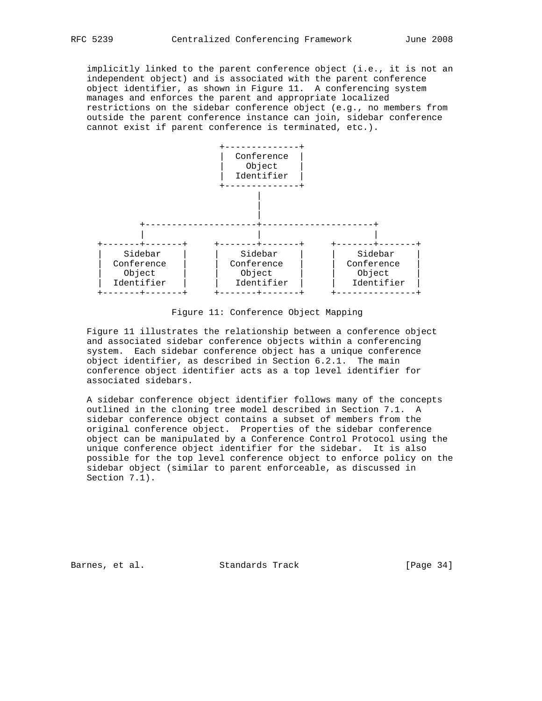implicitly linked to the parent conference object (i.e., it is not an independent object) and is associated with the parent conference object identifier, as shown in Figure 11. A conferencing system manages and enforces the parent and appropriate localized restrictions on the sidebar conference object (e.g., no members from outside the parent conference instance can join, sidebar conference cannot exist if parent conference is terminated, etc.).



Figure 11: Conference Object Mapping

 Figure 11 illustrates the relationship between a conference object and associated sidebar conference objects within a conferencing system. Each sidebar conference object has a unique conference object identifier, as described in Section 6.2.1. The main conference object identifier acts as a top level identifier for associated sidebars.

 A sidebar conference object identifier follows many of the concepts outlined in the cloning tree model described in Section 7.1. A sidebar conference object contains a subset of members from the original conference object. Properties of the sidebar conference object can be manipulated by a Conference Control Protocol using the unique conference object identifier for the sidebar. It is also possible for the top level conference object to enforce policy on the sidebar object (similar to parent enforceable, as discussed in Section 7.1).

Barnes, et al. Standards Track [Page 34]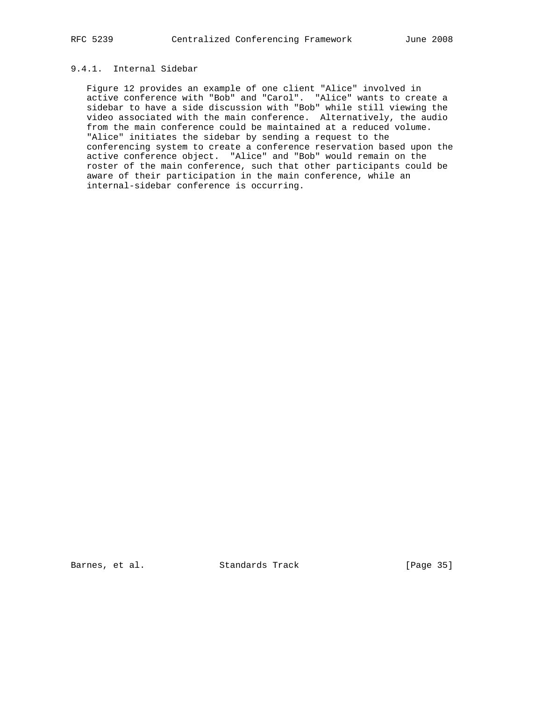# 9.4.1. Internal Sidebar

 Figure 12 provides an example of one client "Alice" involved in active conference with "Bob" and "Carol". "Alice" wants to create a sidebar to have a side discussion with "Bob" while still viewing the video associated with the main conference. Alternatively, the audio from the main conference could be maintained at a reduced volume. "Alice" initiates the sidebar by sending a request to the conferencing system to create a conference reservation based upon the active conference object. "Alice" and "Bob" would remain on the roster of the main conference, such that other participants could be aware of their participation in the main conference, while an internal-sidebar conference is occurring.

Barnes, et al. Standards Track [Page 35]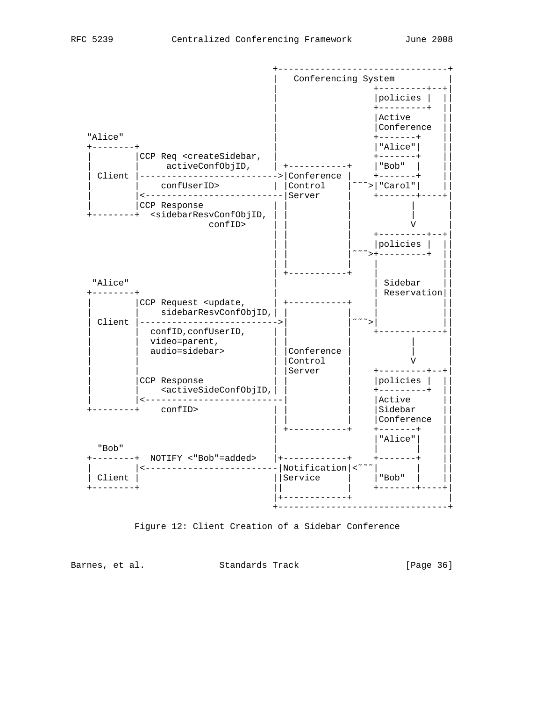

Figure 12: Client Creation of a Sidebar Conference

Barnes, et al. Standards Track [Page 36]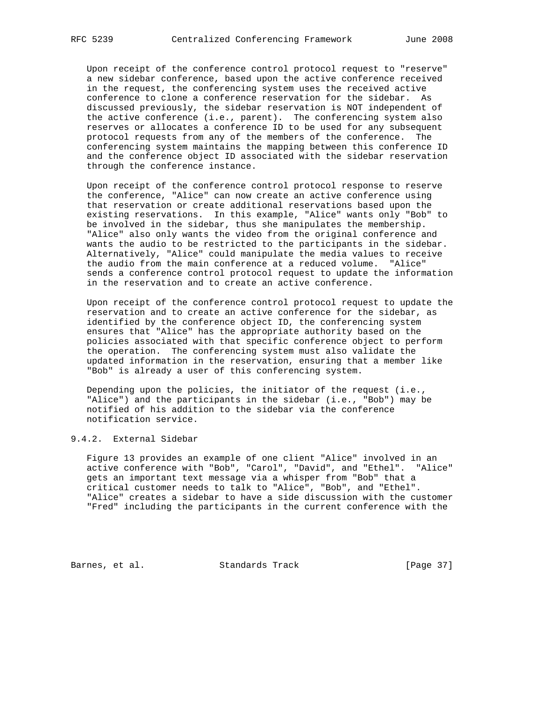Upon receipt of the conference control protocol request to "reserve" a new sidebar conference, based upon the active conference received in the request, the conferencing system uses the received active conference to clone a conference reservation for the sidebar. As discussed previously, the sidebar reservation is NOT independent of the active conference (i.e., parent). The conferencing system also reserves or allocates a conference ID to be used for any subsequent protocol requests from any of the members of the conference. The conferencing system maintains the mapping between this conference ID and the conference object ID associated with the sidebar reservation through the conference instance.

 Upon receipt of the conference control protocol response to reserve the conference, "Alice" can now create an active conference using that reservation or create additional reservations based upon the existing reservations. In this example, "Alice" wants only "Bob" to be involved in the sidebar, thus she manipulates the membership. "Alice" also only wants the video from the original conference and wants the audio to be restricted to the participants in the sidebar. Alternatively, "Alice" could manipulate the media values to receive the audio from the main conference at a reduced volume. "Alice" sends a conference control protocol request to update the information in the reservation and to create an active conference.

 Upon receipt of the conference control protocol request to update the reservation and to create an active conference for the sidebar, as identified by the conference object ID, the conferencing system ensures that "Alice" has the appropriate authority based on the policies associated with that specific conference object to perform the operation. The conferencing system must also validate the updated information in the reservation, ensuring that a member like "Bob" is already a user of this conferencing system.

 Depending upon the policies, the initiator of the request (i.e., "Alice") and the participants in the sidebar (i.e., "Bob") may be notified of his addition to the sidebar via the conference notification service.

# 9.4.2. External Sidebar

 Figure 13 provides an example of one client "Alice" involved in an active conference with "Bob", "Carol", "David", and "Ethel". "Alice" gets an important text message via a whisper from "Bob" that a critical customer needs to talk to "Alice", "Bob", and "Ethel". "Alice" creates a sidebar to have a side discussion with the customer "Fred" including the participants in the current conference with the

Barnes, et al. Standards Track [Page 37]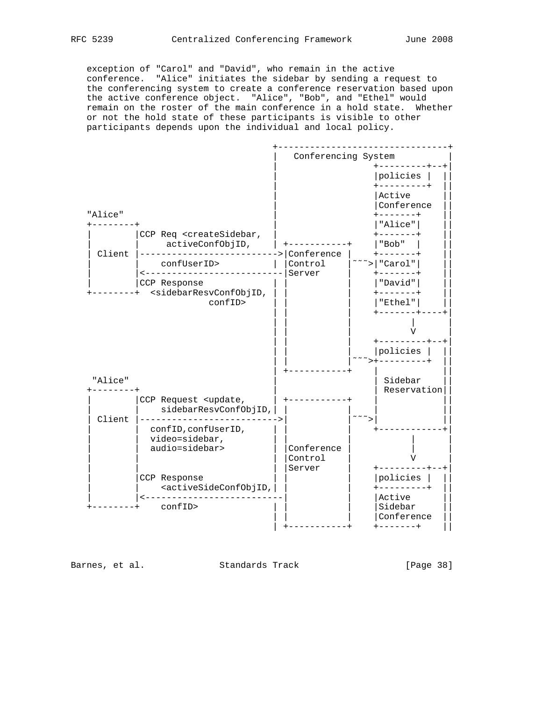exception of "Carol" and "David", who remain in the active conference. "Alice" initiates the sidebar by sending a request to the conferencing system to create a conference reservation based upon the active conference object. "Alice", "Bob", and "Ethel" would remain on the roster of the main conference in a hold state. Whether or not the hold state of these participants is visible to other participants depends upon the individual and local policy.



Barnes, et al. Standards Track [Page 38]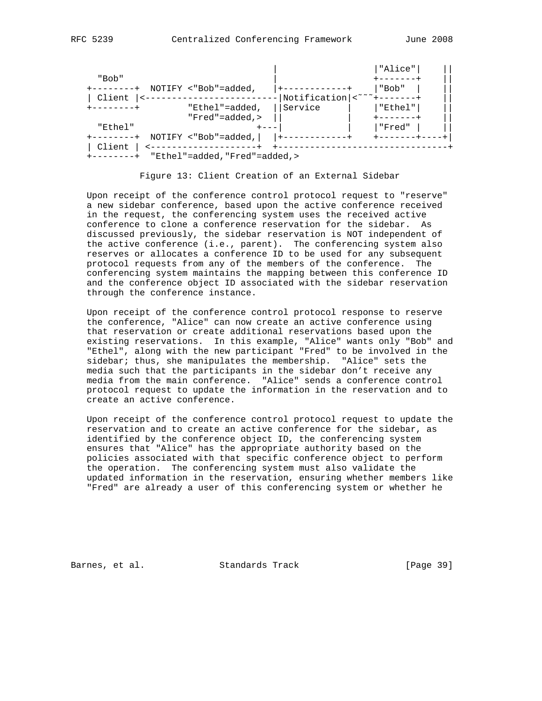| "Bob"                   |                                |                                              | "Alice"   |
|-------------------------|--------------------------------|----------------------------------------------|-----------|
|                         | NOTIFY <"Bob"=added,           |                                              | "Bob"     |
| Client<br>- - - - - - + | "Ethel"=added,                 | Notification $ 2$ +-------<br><i>Service</i> | l "Ethel" |
| "Ethel"                 | "Fred"=added, $>$              |                                              | l"Fred"   |
| -------+                | NOTIFY <"Bob"=added,           |                                              | ------+   |
| Client                  | "Ethel"=added, "Fred"=added, > |                                              |           |

#### Figure 13: Client Creation of an External Sidebar

 Upon receipt of the conference control protocol request to "reserve" a new sidebar conference, based upon the active conference received in the request, the conferencing system uses the received active conference to clone a conference reservation for the sidebar. As discussed previously, the sidebar reservation is NOT independent of the active conference (i.e., parent). The conferencing system also reserves or allocates a conference ID to be used for any subsequent protocol requests from any of the members of the conference. The conferencing system maintains the mapping between this conference ID and the conference object ID associated with the sidebar reservation through the conference instance.

 Upon receipt of the conference control protocol response to reserve the conference, "Alice" can now create an active conference using that reservation or create additional reservations based upon the existing reservations. In this example, "Alice" wants only "Bob" and "Ethel", along with the new participant "Fred" to be involved in the sidebar; thus, she manipulates the membership. "Alice" sets the media such that the participants in the sidebar don't receive any media from the main conference. "Alice" sends a conference control protocol request to update the information in the reservation and to create an active conference.

 Upon receipt of the conference control protocol request to update the reservation and to create an active conference for the sidebar, as identified by the conference object ID, the conferencing system ensures that "Alice" has the appropriate authority based on the policies associated with that specific conference object to perform the operation. The conferencing system must also validate the updated information in the reservation, ensuring whether members like "Fred" are already a user of this conferencing system or whether he

Barnes, et al. Standards Track [Page 39]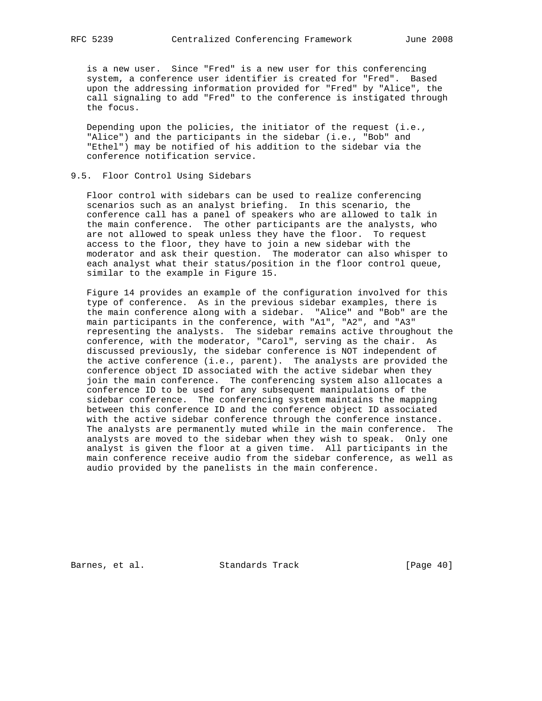is a new user. Since "Fred" is a new user for this conferencing system, a conference user identifier is created for "Fred". Based upon the addressing information provided for "Fred" by "Alice", the call signaling to add "Fred" to the conference is instigated through the focus.

 Depending upon the policies, the initiator of the request (i.e., "Alice") and the participants in the sidebar (i.e., "Bob" and "Ethel") may be notified of his addition to the sidebar via the conference notification service.

#### 9.5. Floor Control Using Sidebars

 Floor control with sidebars can be used to realize conferencing scenarios such as an analyst briefing. In this scenario, the conference call has a panel of speakers who are allowed to talk in the main conference. The other participants are the analysts, who are not allowed to speak unless they have the floor. To request access to the floor, they have to join a new sidebar with the moderator and ask their question. The moderator can also whisper to each analyst what their status/position in the floor control queue, similar to the example in Figure 15.

 Figure 14 provides an example of the configuration involved for this type of conference. As in the previous sidebar examples, there is the main conference along with a sidebar. "Alice" and "Bob" are the main participants in the conference, with "A1", "A2", and "A3" representing the analysts. The sidebar remains active throughout the conference, with the moderator, "Carol", serving as the chair. As discussed previously, the sidebar conference is NOT independent of the active conference (i.e., parent). The analysts are provided the conference object ID associated with the active sidebar when they join the main conference. The conferencing system also allocates a conference ID to be used for any subsequent manipulations of the sidebar conference. The conferencing system maintains the mapping between this conference ID and the conference object ID associated with the active sidebar conference through the conference instance. The analysts are permanently muted while in the main conference. The analysts are moved to the sidebar when they wish to speak. Only one analyst is given the floor at a given time. All participants in the main conference receive audio from the sidebar conference, as well as audio provided by the panelists in the main conference.

Barnes, et al. Standards Track [Page 40]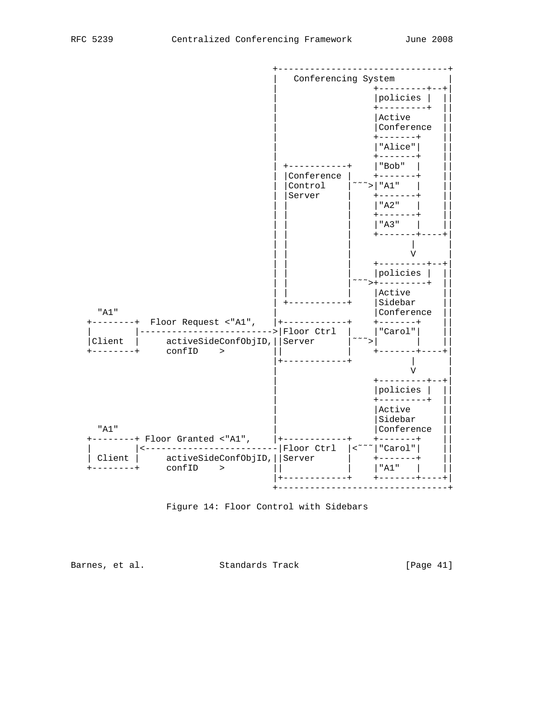

Figure 14: Floor Control with Sidebars

Barnes, et al. Standards Track [Page 41]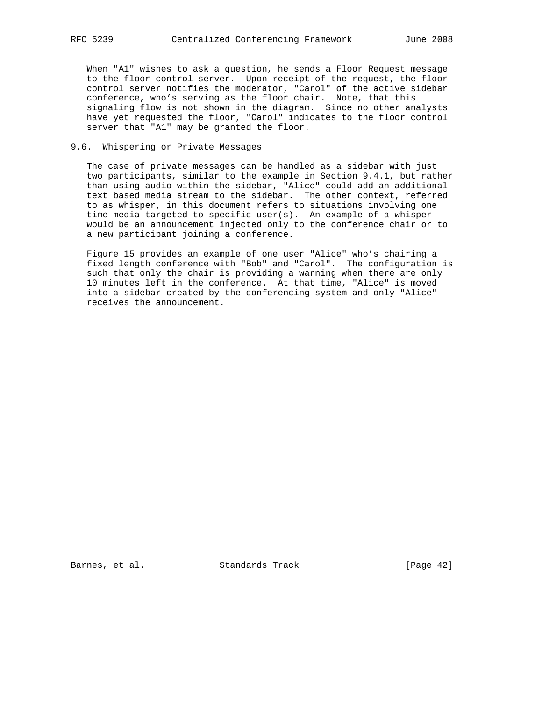When "A1" wishes to ask a question, he sends a Floor Request message to the floor control server. Upon receipt of the request, the floor control server notifies the moderator, "Carol" of the active sidebar conference, who's serving as the floor chair. Note, that this signaling flow is not shown in the diagram. Since no other analysts have yet requested the floor, "Carol" indicates to the floor control server that "A1" may be granted the floor.

## 9.6. Whispering or Private Messages

 The case of private messages can be handled as a sidebar with just two participants, similar to the example in Section 9.4.1, but rather than using audio within the sidebar, "Alice" could add an additional text based media stream to the sidebar. The other context, referred to as whisper, in this document refers to situations involving one time media targeted to specific user(s). An example of a whisper would be an announcement injected only to the conference chair or to a new participant joining a conference.

 Figure 15 provides an example of one user "Alice" who's chairing a fixed length conference with "Bob" and "Carol". The configuration is such that only the chair is providing a warning when there are only 10 minutes left in the conference. At that time, "Alice" is moved into a sidebar created by the conferencing system and only "Alice" receives the announcement.

Barnes, et al. Standards Track [Page 42]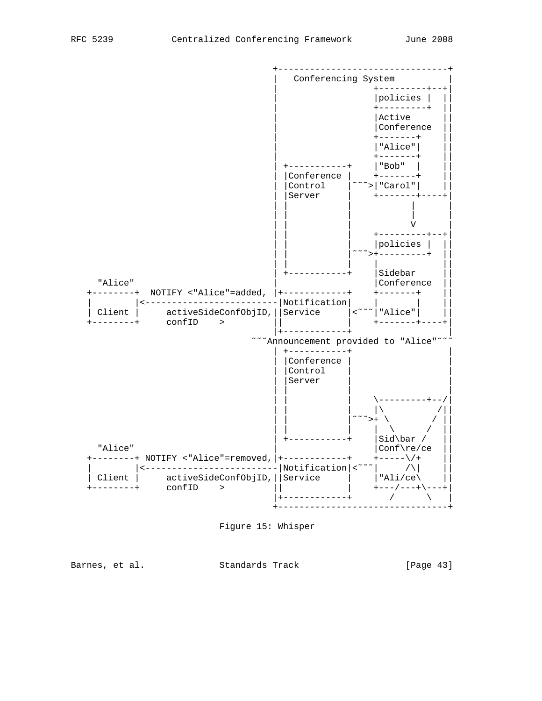

Figure 15: Whisper

Barnes, et al. Standards Track [Page 43]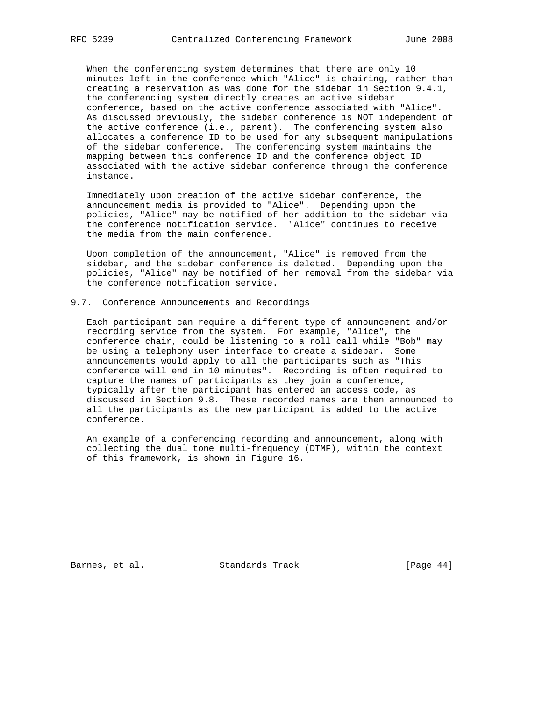When the conferencing system determines that there are only 10 minutes left in the conference which "Alice" is chairing, rather than creating a reservation as was done for the sidebar in Section 9.4.1, the conferencing system directly creates an active sidebar conference, based on the active conference associated with "Alice". As discussed previously, the sidebar conference is NOT independent of the active conference (i.e., parent). The conferencing system also allocates a conference ID to be used for any subsequent manipulations of the sidebar conference. The conferencing system maintains the mapping between this conference ID and the conference object ID associated with the active sidebar conference through the conference instance.

 Immediately upon creation of the active sidebar conference, the announcement media is provided to "Alice". Depending upon the policies, "Alice" may be notified of her addition to the sidebar via the conference notification service. "Alice" continues to receive the media from the main conference.

 Upon completion of the announcement, "Alice" is removed from the sidebar, and the sidebar conference is deleted. Depending upon the policies, "Alice" may be notified of her removal from the sidebar via the conference notification service.

## 9.7. Conference Announcements and Recordings

 Each participant can require a different type of announcement and/or recording service from the system. For example, "Alice", the conference chair, could be listening to a roll call while "Bob" may be using a telephony user interface to create a sidebar. Some announcements would apply to all the participants such as "This conference will end in 10 minutes". Recording is often required to capture the names of participants as they join a conference, typically after the participant has entered an access code, as discussed in Section 9.8. These recorded names are then announced to all the participants as the new participant is added to the active conference.

 An example of a conferencing recording and announcement, along with collecting the dual tone multi-frequency (DTMF), within the context of this framework, is shown in Figure 16.

Barnes, et al. Standards Track [Page 44]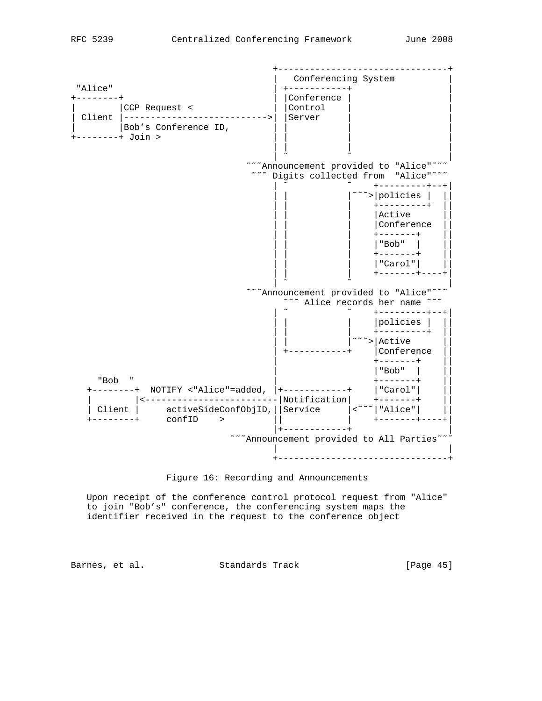



 Upon receipt of the conference control protocol request from "Alice" to join "Bob's" conference, the conferencing system maps the identifier received in the request to the conference object

Barnes, et al. Standards Track [Page 45]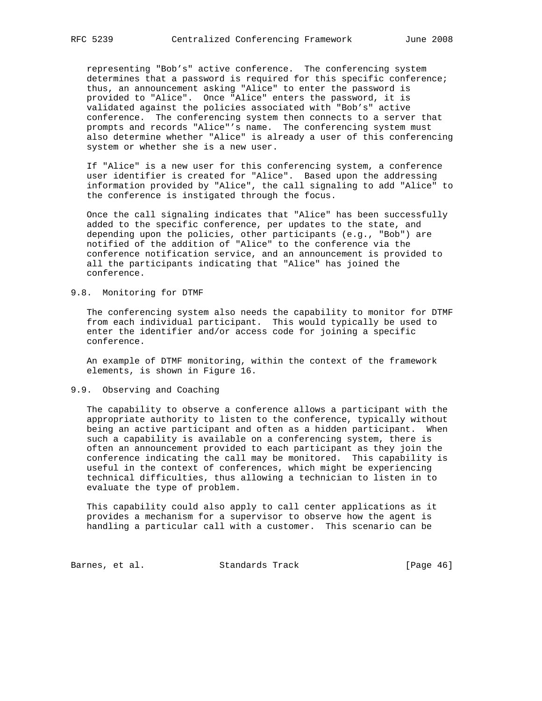representing "Bob's" active conference. The conferencing system determines that a password is required for this specific conference; thus, an announcement asking "Alice" to enter the password is provided to "Alice". Once "Alice" enters the password, it is validated against the policies associated with "Bob's" active conference. The conferencing system then connects to a server that prompts and records "Alice"'s name. The conferencing system must also determine whether "Alice" is already a user of this conferencing system or whether she is a new user.

 If "Alice" is a new user for this conferencing system, a conference user identifier is created for "Alice". Based upon the addressing information provided by "Alice", the call signaling to add "Alice" to the conference is instigated through the focus.

 Once the call signaling indicates that "Alice" has been successfully added to the specific conference, per updates to the state, and depending upon the policies, other participants (e.g., "Bob") are notified of the addition of "Alice" to the conference via the conference notification service, and an announcement is provided to all the participants indicating that "Alice" has joined the conference.

# 9.8. Monitoring for DTMF

 The conferencing system also needs the capability to monitor for DTMF from each individual participant. This would typically be used to enter the identifier and/or access code for joining a specific conference.

 An example of DTMF monitoring, within the context of the framework elements, is shown in Figure 16.

## 9.9. Observing and Coaching

 The capability to observe a conference allows a participant with the appropriate authority to listen to the conference, typically without being an active participant and often as a hidden participant. When such a capability is available on a conferencing system, there is often an announcement provided to each participant as they join the conference indicating the call may be monitored. This capability is useful in the context of conferences, which might be experiencing technical difficulties, thus allowing a technician to listen in to evaluate the type of problem.

 This capability could also apply to call center applications as it provides a mechanism for a supervisor to observe how the agent is handling a particular call with a customer. This scenario can be

Barnes, et al. Standards Track [Page 46]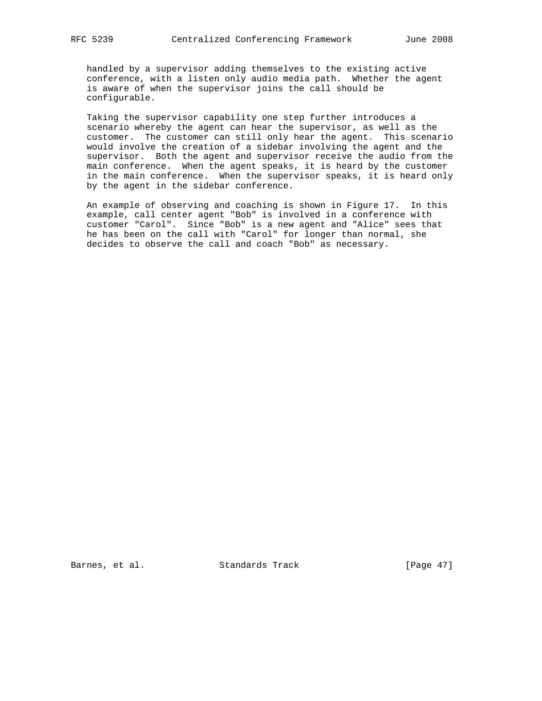handled by a supervisor adding themselves to the existing active conference, with a listen only audio media path. Whether the agent is aware of when the supervisor joins the call should be configurable.

 Taking the supervisor capability one step further introduces a scenario whereby the agent can hear the supervisor, as well as the customer. The customer can still only hear the agent. This scenario would involve the creation of a sidebar involving the agent and the supervisor. Both the agent and supervisor receive the audio from the main conference. When the agent speaks, it is heard by the customer in the main conference. When the supervisor speaks, it is heard only by the agent in the sidebar conference.

 An example of observing and coaching is shown in Figure 17. In this example, call center agent "Bob" is involved in a conference with customer "Carol". Since "Bob" is a new agent and "Alice" sees that he has been on the call with "Carol" for longer than normal, she decides to observe the call and coach "Bob" as necessary.

Barnes, et al. Standards Track [Page 47]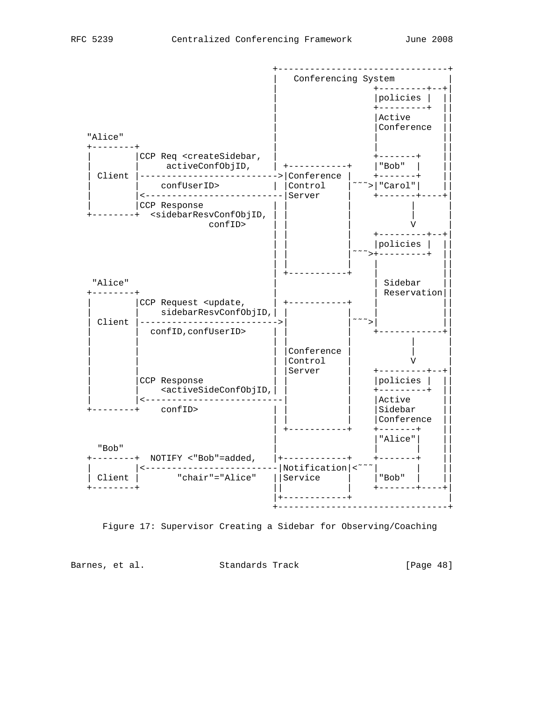

Figure 17: Supervisor Creating a Sidebar for Observing/Coaching

Barnes, et al. Standards Track [Page 48]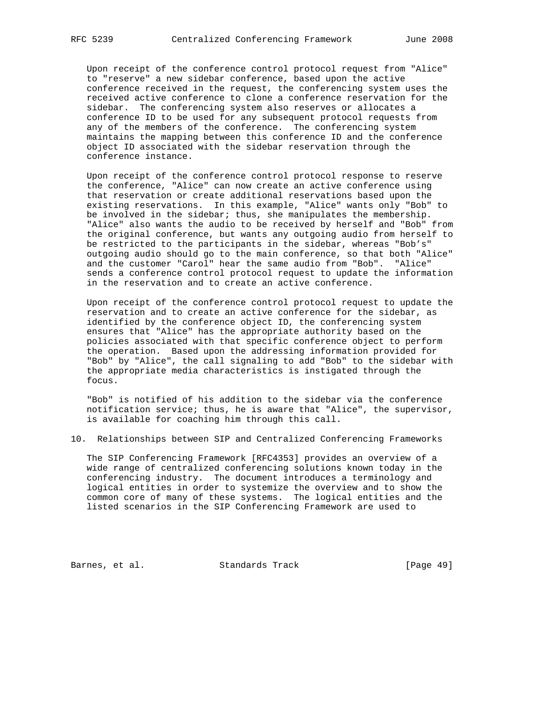Upon receipt of the conference control protocol request from "Alice" to "reserve" a new sidebar conference, based upon the active conference received in the request, the conferencing system uses the received active conference to clone a conference reservation for the sidebar. The conferencing system also reserves or allocates a conference ID to be used for any subsequent protocol requests from any of the members of the conference. The conferencing system maintains the mapping between this conference ID and the conference object ID associated with the sidebar reservation through the conference instance.

 Upon receipt of the conference control protocol response to reserve the conference, "Alice" can now create an active conference using that reservation or create additional reservations based upon the existing reservations. In this example, "Alice" wants only "Bob" to be involved in the sidebar; thus, she manipulates the membership. "Alice" also wants the audio to be received by herself and "Bob" from the original conference, but wants any outgoing audio from herself to be restricted to the participants in the sidebar, whereas "Bob's" outgoing audio should go to the main conference, so that both "Alice" and the customer "Carol" hear the same audio from "Bob". "Alice" sends a conference control protocol request to update the information in the reservation and to create an active conference.

 Upon receipt of the conference control protocol request to update the reservation and to create an active conference for the sidebar, as identified by the conference object ID, the conferencing system ensures that "Alice" has the appropriate authority based on the policies associated with that specific conference object to perform the operation. Based upon the addressing information provided for "Bob" by "Alice", the call signaling to add "Bob" to the sidebar with the appropriate media characteristics is instigated through the focus.

 "Bob" is notified of his addition to the sidebar via the conference notification service; thus, he is aware that "Alice", the supervisor, is available for coaching him through this call.

10. Relationships between SIP and Centralized Conferencing Frameworks

 The SIP Conferencing Framework [RFC4353] provides an overview of a wide range of centralized conferencing solutions known today in the conferencing industry. The document introduces a terminology and logical entities in order to systemize the overview and to show the common core of many of these systems. The logical entities and the listed scenarios in the SIP Conferencing Framework are used to

Barnes, et al. Standards Track [Page 49]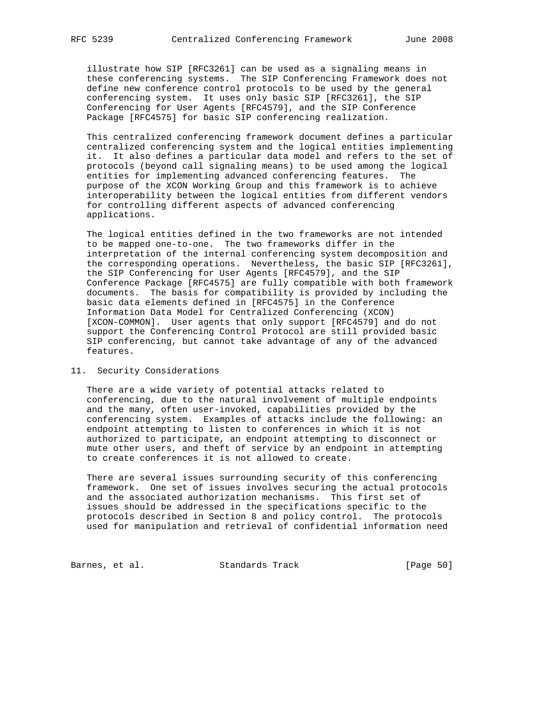illustrate how SIP [RFC3261] can be used as a signaling means in these conferencing systems. The SIP Conferencing Framework does not define new conference control protocols to be used by the general conferencing system. It uses only basic SIP [RFC3261], the SIP Conferencing for User Agents [RFC4579], and the SIP Conference Package [RFC4575] for basic SIP conferencing realization.

 This centralized conferencing framework document defines a particular centralized conferencing system and the logical entities implementing it. It also defines a particular data model and refers to the set of protocols (beyond call signaling means) to be used among the logical entities for implementing advanced conferencing features. The purpose of the XCON Working Group and this framework is to achieve interoperability between the logical entities from different vendors for controlling different aspects of advanced conferencing applications.

 The logical entities defined in the two frameworks are not intended to be mapped one-to-one. The two frameworks differ in the interpretation of the internal conferencing system decomposition and the corresponding operations. Nevertheless, the basic SIP [RFC3261], the SIP Conferencing for User Agents [RFC4579], and the SIP Conference Package [RFC4575] are fully compatible with both framework documents. The basis for compatibility is provided by including the basic data elements defined in [RFC4575] in the Conference Information Data Model for Centralized Conferencing (XCON) [XCON-COMMON]. User agents that only support [RFC4579] and do not support the Conferencing Control Protocol are still provided basic SIP conferencing, but cannot take advantage of any of the advanced features.

#### 11. Security Considerations

 There are a wide variety of potential attacks related to conferencing, due to the natural involvement of multiple endpoints and the many, often user-invoked, capabilities provided by the conferencing system. Examples of attacks include the following: an endpoint attempting to listen to conferences in which it is not authorized to participate, an endpoint attempting to disconnect or mute other users, and theft of service by an endpoint in attempting to create conferences it is not allowed to create.

 There are several issues surrounding security of this conferencing framework. One set of issues involves securing the actual protocols and the associated authorization mechanisms. This first set of issues should be addressed in the specifications specific to the protocols described in Section 8 and policy control. The protocols used for manipulation and retrieval of confidential information need

Barnes, et al. Standards Track [Page 50]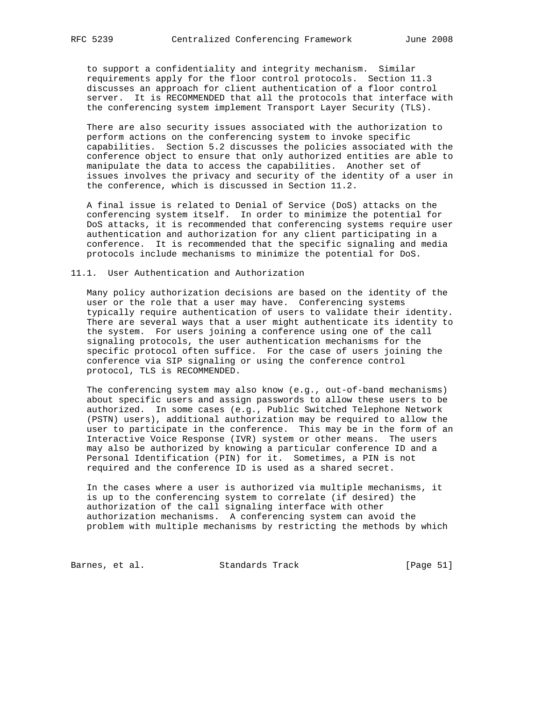to support a confidentiality and integrity mechanism. Similar requirements apply for the floor control protocols. Section 11.3 discusses an approach for client authentication of a floor control server. It is RECOMMENDED that all the protocols that interface with the conferencing system implement Transport Layer Security (TLS).

 There are also security issues associated with the authorization to perform actions on the conferencing system to invoke specific capabilities. Section 5.2 discusses the policies associated with the conference object to ensure that only authorized entities are able to manipulate the data to access the capabilities. Another set of issues involves the privacy and security of the identity of a user in the conference, which is discussed in Section 11.2.

 A final issue is related to Denial of Service (DoS) attacks on the conferencing system itself. In order to minimize the potential for DoS attacks, it is recommended that conferencing systems require user authentication and authorization for any client participating in a conference. It is recommended that the specific signaling and media protocols include mechanisms to minimize the potential for DoS.

#### 11.1. User Authentication and Authorization

 Many policy authorization decisions are based on the identity of the user or the role that a user may have. Conferencing systems typically require authentication of users to validate their identity. There are several ways that a user might authenticate its identity to the system. For users joining a conference using one of the call signaling protocols, the user authentication mechanisms for the specific protocol often suffice. For the case of users joining the conference via SIP signaling or using the conference control protocol, TLS is RECOMMENDED.

 The conferencing system may also know (e.g., out-of-band mechanisms) about specific users and assign passwords to allow these users to be authorized. In some cases (e.g., Public Switched Telephone Network (PSTN) users), additional authorization may be required to allow the user to participate in the conference. This may be in the form of an Interactive Voice Response (IVR) system or other means. The users may also be authorized by knowing a particular conference ID and a Personal Identification (PIN) for it. Sometimes, a PIN is not required and the conference ID is used as a shared secret.

 In the cases where a user is authorized via multiple mechanisms, it is up to the conferencing system to correlate (if desired) the authorization of the call signaling interface with other authorization mechanisms. A conferencing system can avoid the problem with multiple mechanisms by restricting the methods by which

Barnes, et al. Standards Track [Page 51]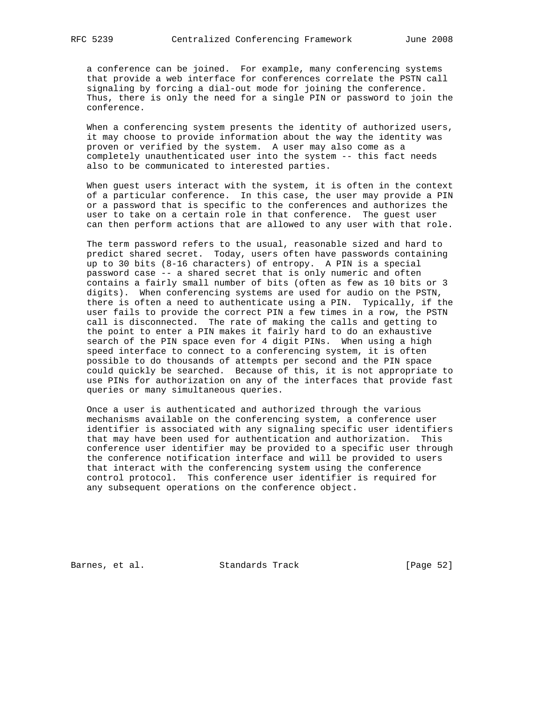a conference can be joined. For example, many conferencing systems that provide a web interface for conferences correlate the PSTN call signaling by forcing a dial-out mode for joining the conference. Thus, there is only the need for a single PIN or password to join the conference.

 When a conferencing system presents the identity of authorized users, it may choose to provide information about the way the identity was proven or verified by the system. A user may also come as a completely unauthenticated user into the system -- this fact needs also to be communicated to interested parties.

 When guest users interact with the system, it is often in the context of a particular conference. In this case, the user may provide a PIN or a password that is specific to the conferences and authorizes the user to take on a certain role in that conference. The guest user can then perform actions that are allowed to any user with that role.

 The term password refers to the usual, reasonable sized and hard to predict shared secret. Today, users often have passwords containing up to 30 bits (8-16 characters) of entropy. A PIN is a special password case -- a shared secret that is only numeric and often contains a fairly small number of bits (often as few as 10 bits or 3 digits). When conferencing systems are used for audio on the PSTN, there is often a need to authenticate using a PIN. Typically, if the user fails to provide the correct PIN a few times in a row, the PSTN call is disconnected. The rate of making the calls and getting to the point to enter a PIN makes it fairly hard to do an exhaustive search of the PIN space even for 4 digit PINs. When using a high speed interface to connect to a conferencing system, it is often possible to do thousands of attempts per second and the PIN space could quickly be searched. Because of this, it is not appropriate to use PINs for authorization on any of the interfaces that provide fast queries or many simultaneous queries.

 Once a user is authenticated and authorized through the various mechanisms available on the conferencing system, a conference user identifier is associated with any signaling specific user identifiers that may have been used for authentication and authorization. This conference user identifier may be provided to a specific user through the conference notification interface and will be provided to users that interact with the conferencing system using the conference control protocol. This conference user identifier is required for any subsequent operations on the conference object.

Barnes, et al. Standards Track [Page 52]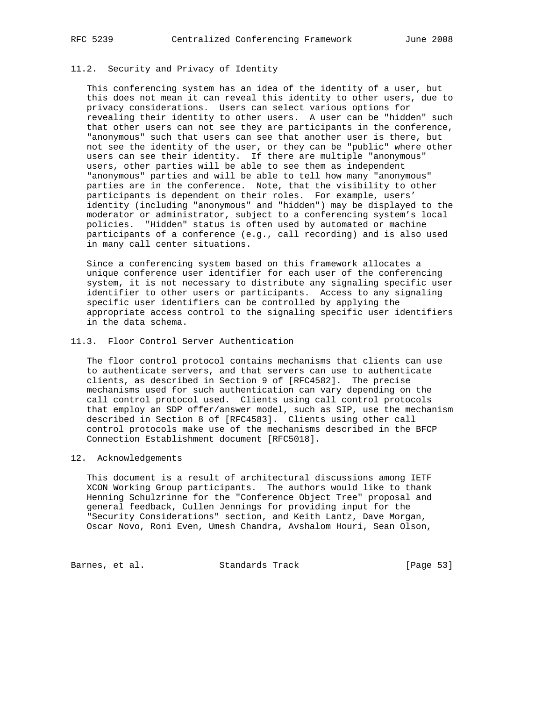# 11.2. Security and Privacy of Identity

 This conferencing system has an idea of the identity of a user, but this does not mean it can reveal this identity to other users, due to privacy considerations. Users can select various options for revealing their identity to other users. A user can be "hidden" such that other users can not see they are participants in the conference, "anonymous" such that users can see that another user is there, but not see the identity of the user, or they can be "public" where other users can see their identity. If there are multiple "anonymous" users, other parties will be able to see them as independent "anonymous" parties and will be able to tell how many "anonymous" parties are in the conference. Note, that the visibility to other participants is dependent on their roles. For example, users' identity (including "anonymous" and "hidden") may be displayed to the moderator or administrator, subject to a conferencing system's local policies. "Hidden" status is often used by automated or machine participants of a conference (e.g., call recording) and is also used in many call center situations.

 Since a conferencing system based on this framework allocates a unique conference user identifier for each user of the conferencing system, it is not necessary to distribute any signaling specific user identifier to other users or participants. Access to any signaling specific user identifiers can be controlled by applying the appropriate access control to the signaling specific user identifiers in the data schema.

#### 11.3. Floor Control Server Authentication

 The floor control protocol contains mechanisms that clients can use to authenticate servers, and that servers can use to authenticate clients, as described in Section 9 of [RFC4582]. The precise mechanisms used for such authentication can vary depending on the call control protocol used. Clients using call control protocols that employ an SDP offer/answer model, such as SIP, use the mechanism described in Section 8 of [RFC4583]. Clients using other call control protocols make use of the mechanisms described in the BFCP Connection Establishment document [RFC5018].

#### 12. Acknowledgements

 This document is a result of architectural discussions among IETF XCON Working Group participants. The authors would like to thank Henning Schulzrinne for the "Conference Object Tree" proposal and general feedback, Cullen Jennings for providing input for the "Security Considerations" section, and Keith Lantz, Dave Morgan, Oscar Novo, Roni Even, Umesh Chandra, Avshalom Houri, Sean Olson,

Barnes, et al. Standards Track [Page 53]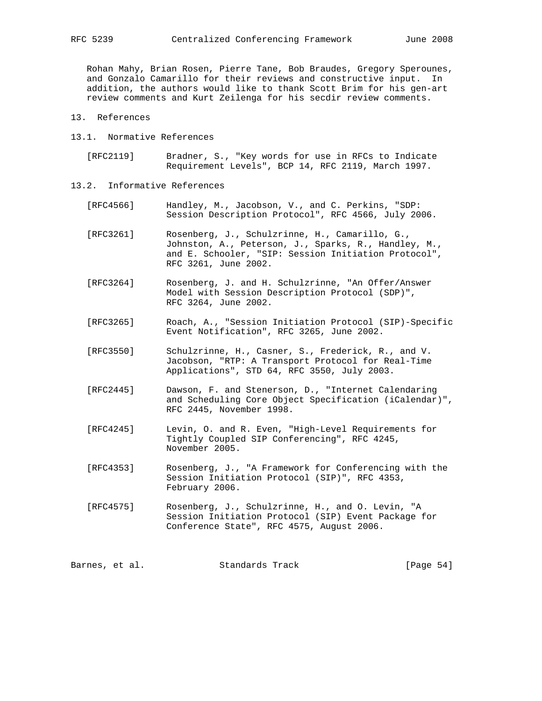Rohan Mahy, Brian Rosen, Pierre Tane, Bob Braudes, Gregory Sperounes, and Gonzalo Camarillo for their reviews and constructive input. In addition, the authors would like to thank Scott Brim for his gen-art review comments and Kurt Zeilenga for his secdir review comments.

- 13. References
- 13.1. Normative References
	- [RFC2119] Bradner, S., "Key words for use in RFCs to Indicate Requirement Levels", BCP 14, RFC 2119, March 1997.
- 13.2. Informative References
	- [RFC4566] Handley, M., Jacobson, V., and C. Perkins, "SDP: Session Description Protocol", RFC 4566, July 2006.
	- [RFC3261] Rosenberg, J., Schulzrinne, H., Camarillo, G., Johnston, A., Peterson, J., Sparks, R., Handley, M., and E. Schooler, "SIP: Session Initiation Protocol", RFC 3261, June 2002.
	- [RFC3264] Rosenberg, J. and H. Schulzrinne, "An Offer/Answer Model with Session Description Protocol (SDP)", RFC 3264, June 2002.
	- [RFC3265] Roach, A., "Session Initiation Protocol (SIP)-Specific Event Notification", RFC 3265, June 2002.
	- [RFC3550] Schulzrinne, H., Casner, S., Frederick, R., and V. Jacobson, "RTP: A Transport Protocol for Real-Time Applications", STD 64, RFC 3550, July 2003.
	- [RFC2445] Dawson, F. and Stenerson, D., "Internet Calendaring and Scheduling Core Object Specification (iCalendar)", RFC 2445, November 1998.
	- [RFC4245] Levin, O. and R. Even, "High-Level Requirements for Tightly Coupled SIP Conferencing", RFC 4245, November 2005.
	- [RFC4353] Rosenberg, J., "A Framework for Conferencing with the Session Initiation Protocol (SIP)", RFC 4353, February 2006.
	- [RFC4575] Rosenberg, J., Schulzrinne, H., and O. Levin, "A Session Initiation Protocol (SIP) Event Package for Conference State", RFC 4575, August 2006.

Barnes, et al. Standards Track [Page 54]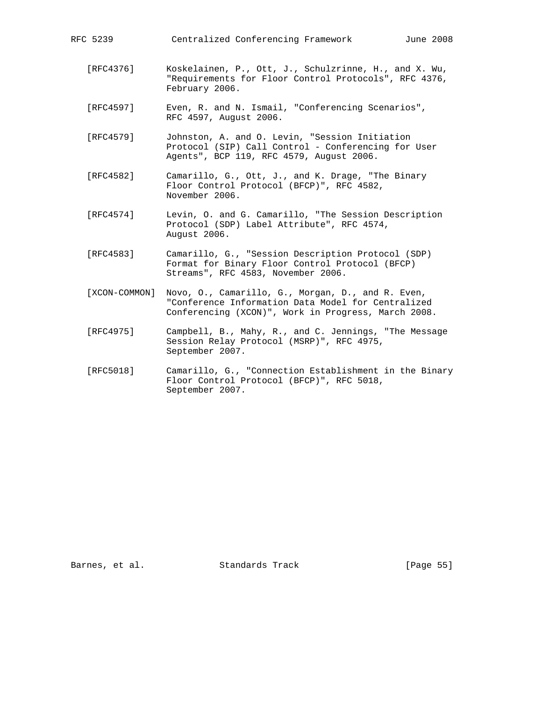| RFC 5239 | Centralized Conferencing Framework | June 2008 |  |
|----------|------------------------------------|-----------|--|
|          |                                    |           |  |

- [RFC4376] Koskelainen, P., Ott, J., Schulzrinne, H., and X. Wu, "Requirements for Floor Control Protocols", RFC 4376, February 2006.
- [RFC4597] Even, R. and N. Ismail, "Conferencing Scenarios", RFC 4597, August 2006.
- [RFC4579] Johnston, A. and O. Levin, "Session Initiation Protocol (SIP) Call Control - Conferencing for User Agents", BCP 119, RFC 4579, August 2006.
- [RFC4582] Camarillo, G., Ott, J., and K. Drage, "The Binary Floor Control Protocol (BFCP)", RFC 4582, November 2006.
- [RFC4574] Levin, O. and G. Camarillo, "The Session Description Protocol (SDP) Label Attribute", RFC 4574, August 2006.
- [RFC4583] Camarillo, G., "Session Description Protocol (SDP) Format for Binary Floor Control Protocol (BFCP) Streams", RFC 4583, November 2006.
- [XCON-COMMON] Novo, O., Camarillo, G., Morgan, D., and R. Even, "Conference Information Data Model for Centralized Conferencing (XCON)", Work in Progress, March 2008.
- [RFC4975] Campbell, B., Mahy, R., and C. Jennings, "The Message Session Relay Protocol (MSRP)", RFC 4975, September 2007.
- [RFC5018] Camarillo, G., "Connection Establishment in the Binary Floor Control Protocol (BFCP)", RFC 5018, September 2007.

Barnes, et al. Standards Track [Page 55]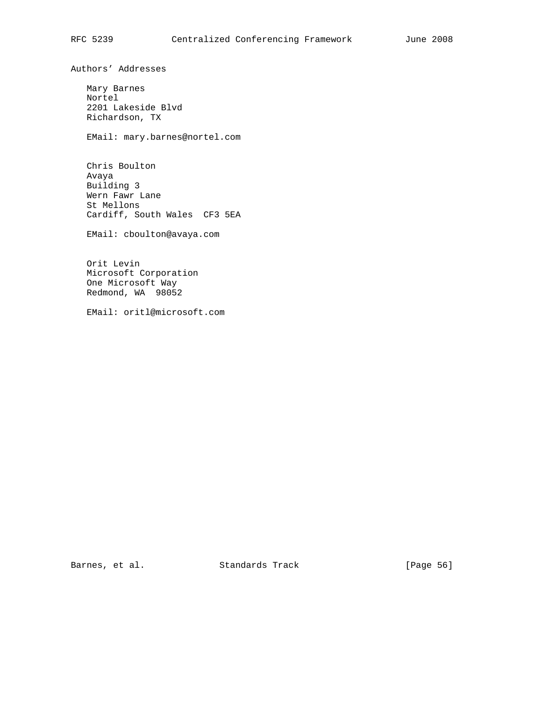Authors' Addresses

 Mary Barnes Nortel 2201 Lakeside Blvd Richardson, TX

EMail: mary.barnes@nortel.com

 Chris Boulton Avaya Building 3 Wern Fawr Lane St Mellons Cardiff, South Wales CF3 5EA

EMail: cboulton@avaya.com

 Orit Levin Microsoft Corporation One Microsoft Way Redmond, WA 98052

EMail: oritl@microsoft.com

Barnes, et al. Standards Track [Page 56]